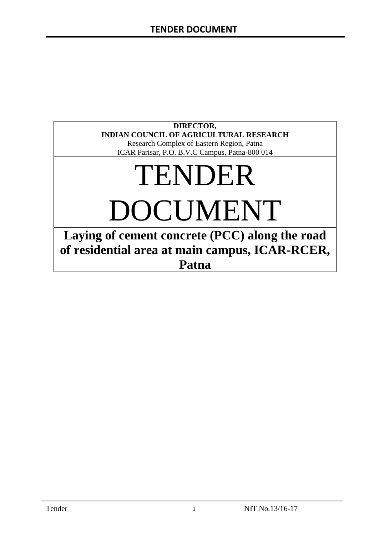### **DIRECTOR, INDIAN COUNCIL OF AGRICULTURAL RESEARCH**

Research Complex of Eastern Region, Patna ICAR Parisar, P.O. B.V.C Campus, Patna-800 014

# TENDER DOCUMENT

**Laying of cement concrete (PCC) along the road of residential area at main campus, ICAR-RCER, Patna**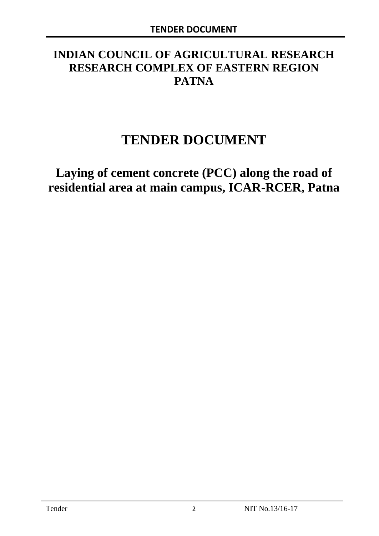# **INDIAN COUNCIL OF AGRICULTURAL RESEARCH RESEARCH COMPLEX OF EASTERN REGION PATNA**

# **TENDER DOCUMENT**

**Laying of cement concrete (PCC) along the road of residential area at main campus, ICAR-RCER, Patna**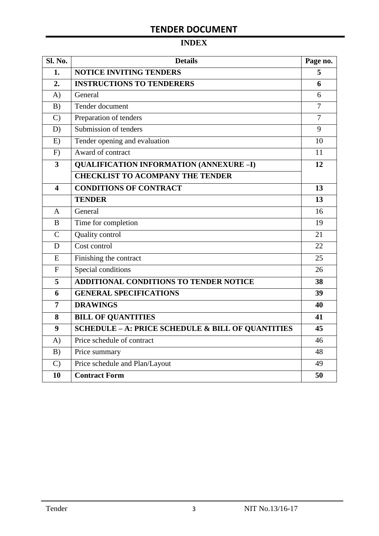# **INDEX**

| <b>Sl. No.</b> | <b>Details</b>                                    |                |  |  |
|----------------|---------------------------------------------------|----------------|--|--|
| 1.             | <b>NOTICE INVITING TENDERS</b>                    |                |  |  |
| 2.             | <b>INSTRUCTIONS TO TENDERERS</b>                  | 6              |  |  |
| A)             | General                                           | 6              |  |  |
| B)             | Tender document                                   | $\overline{7}$ |  |  |
| $\mathcal{C}$  | Preparation of tenders                            | $\overline{7}$ |  |  |
| D)             | Submission of tenders                             | 9              |  |  |
| E)             | Tender opening and evaluation                     | 10             |  |  |
| F)             | Award of contract                                 | 11             |  |  |
| 3              | <b>QUALIFICATION INFORMATION (ANNEXURE-I)</b>     | 12             |  |  |
|                | <b>CHECKLIST TO ACOMPANY THE TENDER</b>           |                |  |  |
| 4              | <b>CONDITIONS OF CONTRACT</b>                     | 13             |  |  |
|                | <b>TENDER</b>                                     | 13             |  |  |
| A              | General                                           | 16             |  |  |
| B              | Time for completion                               | 19             |  |  |
| $\overline{C}$ | Quality control                                   | 21             |  |  |
| D              | Cost control                                      | 22             |  |  |
| E              | Finishing the contract                            | 25             |  |  |
| $\overline{F}$ | Special conditions                                | 26             |  |  |
| 5              | ADDITIONAL CONDITIONS TO TENDER NOTICE            | 38             |  |  |
| 6              | <b>GENERAL SPECIFICATIONS</b>                     | 39             |  |  |
| $\overline{7}$ | <b>DRAWINGS</b>                                   | 40             |  |  |
| 8              | <b>BILL OF QUANTITIES</b>                         | 41             |  |  |
| 9              | SCHEDULE - A: PRICE SCHEDULE & BILL OF QUANTITIES | 45             |  |  |
| A)             | Price schedule of contract                        | 46             |  |  |
| B)             | Price summary                                     | 48             |  |  |
| $\mathcal{C}$  | Price schedule and Plan/Layout                    | 49             |  |  |
| 10             | <b>Contract Form</b>                              | 50             |  |  |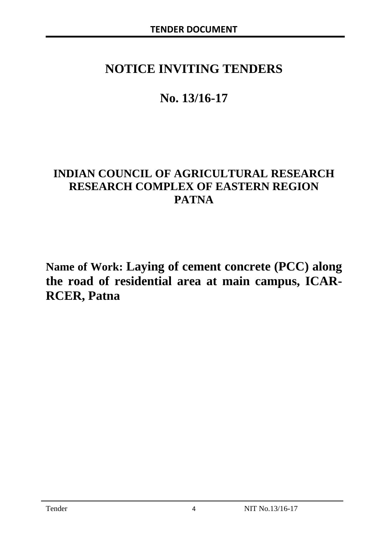# **NOTICE INVITING TENDERS**

# **No. 13/16-17**

# **INDIAN COUNCIL OF AGRICULTURAL RESEARCH RESEARCH COMPLEX OF EASTERN REGION PATNA**

**Name of Work: Laying of cement concrete (PCC) along the road of residential area at main campus, ICAR-RCER, Patna**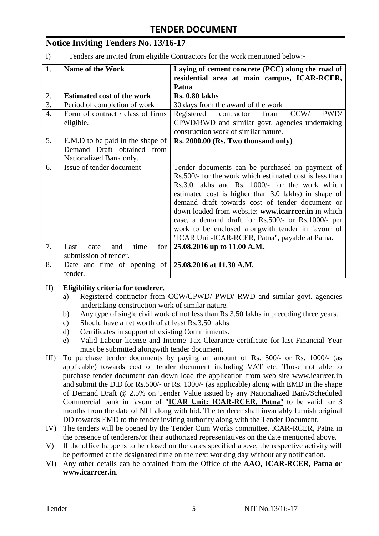# **Notice Inviting Tenders No. 13/16-17**

I) Tenders are invited from eligible Contractors for the work mentioned below:-

| 1.               | <b>Name of the Work</b><br>Laying of cement concrete (PCC) along the road of |                                                          |  |  |  |  |
|------------------|------------------------------------------------------------------------------|----------------------------------------------------------|--|--|--|--|
|                  |                                                                              | residential area at main campus, ICAR-RCER,              |  |  |  |  |
|                  |                                                                              | Patna                                                    |  |  |  |  |
| 2.               | <b>Estimated cost of the work</b>                                            | <b>Rs. 0.80 lakhs</b>                                    |  |  |  |  |
| 3.               | Period of completion of work                                                 | 30 days from the award of the work                       |  |  |  |  |
| $\overline{4}$ . | Form of contract / class of firms                                            | CCW/<br>PWD/<br>Registered<br>contractor<br>from         |  |  |  |  |
|                  | eligible.                                                                    | CPWD/RWD and similar govt. agencies undertaking          |  |  |  |  |
|                  |                                                                              | construction work of similar nature.                     |  |  |  |  |
| 5.               | E.M.D to be paid in the shape of                                             | Rs. 2000.00 (Rs. Two thousand only)                      |  |  |  |  |
|                  | Demand Draft obtained from                                                   |                                                          |  |  |  |  |
|                  | Nationalized Bank only.                                                      |                                                          |  |  |  |  |
| 6.               | Issue of tender document                                                     | Tender documents can be purchased on payment of          |  |  |  |  |
|                  |                                                                              | Rs. 500/- for the work which estimated cost is less than |  |  |  |  |
|                  |                                                                              | Rs.3.0 lakhs and Rs. 1000/- for the work which           |  |  |  |  |
|                  |                                                                              | estimated cost is higher than 3.0 lakhs) in shape of     |  |  |  |  |
|                  |                                                                              | demand draft towards cost of tender document or          |  |  |  |  |
|                  |                                                                              | down loaded from website: www.icarreer.in in which       |  |  |  |  |
|                  |                                                                              | case, a demand draft for Rs.500/- or Rs.1000/- per       |  |  |  |  |
|                  |                                                                              | work to be enclosed alongwith tender in favour of        |  |  |  |  |
|                  |                                                                              | "ICAR Unit-ICAR-RCER, Patna", payable at Patna.          |  |  |  |  |
| 7.               | for<br>Last<br>date<br>time<br>and                                           | 25.08.2016 up to 11.00 A.M.                              |  |  |  |  |
|                  | submission of tender.                                                        |                                                          |  |  |  |  |
| 8.               | Date and time of opening of $\vert$ 25.08.2016 at 11.30 A.M.                 |                                                          |  |  |  |  |
|                  | tender.                                                                      |                                                          |  |  |  |  |

#### II) **Eligibility criteria for tenderer.**

- a) Registered contractor from CCW/CPWD/ PWD/ RWD and similar govt. agencies undertaking construction work of similar nature.
- b) Any type of single civil work of not less than Rs.3.50 lakhs in preceding three years.
- c) Should have a net worth of at least Rs.3.50 lakhs
- d) Certificates in support of existing Commitments.
- e) Valid Labour license and Income Tax Clearance certificate for last Financial Year must be submitted alongwith tender document.
- III) To purchase tender documents by paying an amount of Rs. 500/- or Rs. 1000/- (as applicable) towards cost of tender document including VAT etc. Those not able to purchase tender document can down load the application from web site www.icarrcer.in and submit the D.D for Rs.500/- or Rs. 1000/- (as applicable) along with EMD in the shape of Demand Draft @ 2.5% on Tender Value issued by any Nationalized Bank/Scheduled Commercial bank in favour of "**ICAR Unit: ICAR-RCER, Patna**" to be valid for 3 months from the date of NIT along with bid. The tenderer shall invariably furnish original DD towards EMD to the tender inviting authority along with the Tender Document.
- IV) The tenders will be opened by the Tender Cum Works committee, ICAR-RCER, Patna in the presence of tenderers/or their authorized representatives on the date mentioned above.
- V) If the office happens to be closed on the dates specified above, the respective activity will be performed at the designated time on the next working day without any notification.
- VI) Any other details can be obtained from the Office of the **AAO, ICAR-RCER, Patna or www.icarrcer.in**.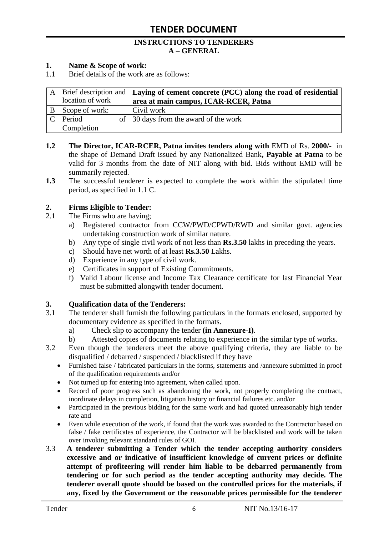#### **INSTRUCTIONS TO TENDERERS A – GENERAL**

#### **1. Name & Scope of work:**

1.1 Brief details of the work are as follows:

|                  | $A$ Brief description and <b>Laying of cement concrete (PCC) along the road of residential</b> |
|------------------|------------------------------------------------------------------------------------------------|
| location of work | area at main campus, ICAR-RCER, Patna                                                          |
| Scope of work:   | Civil work                                                                                     |
| Period           | of 30 days from the award of the work                                                          |
| Completion       |                                                                                                |

- **1.2** The Director, ICAR-RCER, Patna invites tenders along with EMD of Rs. 2000/- in the shape of Demand Draft issued by any Nationalized Bank**, Payable at Patna** to be valid for 3 months from the date of NIT along with bid. Bids without EMD will be summarily rejected.
- **1.3** The successful tenderer is expected to complete the work within the stipulated time period, as specified in 1.1 C.

#### **2. Firms Eligible to Tender:**

- 2.1 The Firms who are having;
	- a) Registered contractor from CCW/PWD/CPWD/RWD and similar govt. agencies undertaking construction work of similar nature.
	- b) Any type of single civil work of not less than **Rs.3.50** lakhs in preceding the years.
	- c) Should have net worth of at least **Rs.3.50** Lakhs.
	- d) Experience in any type of civil work.
	- e) Certificates in support of Existing Commitments.
	- f) Valid Labour license and Income Tax Clearance certificate for last Financial Year must be submitted alongwith tender document.

#### **3. Qualification data of the Tenderers:**

- 3.1 The tenderer shall furnish the following particulars in the formats enclosed, supported by documentary evidence as specified in the formats.
	- a) Check slip to accompany the tender **(in Annexure-I)**.
	- b) Attested copies of documents relating to experience in the similar type of works.
- 3.2 Even though the tenderers meet the above qualifying criteria, they are liable to be disqualified / debarred / suspended / blacklisted if they have
	- Furnished false / fabricated particulars in the forms, statements and /annexure submitted in proof of the qualification requirements and/or
	- Not turned up for entering into agreement, when called upon.
	- Record of poor progress such as abandoning the work, not properly completing the contract, inordinate delays in completion, litigation history or financial failures etc. and/or
	- Participated in the previous bidding for the same work and had quoted unreasonably high tender rate and
	- Even while execution of the work, if found that the work was awarded to the Contractor based on false / fake certificates of experience, the Contractor will be blacklisted and work will be taken over invoking relevant standard rules of GOI.
- 3.3 **A tenderer submitting a Tender which the tender accepting authority considers excessive and or indicative of insufficient knowledge of current prices or definite attempt of profiteering will render him liable to be debarred permanently from tendering or for such period as the tender accepting authority may decide. The tenderer overall quote should be based on the controlled prices for the materials, if any, fixed by the Government or the reasonable prices permissible for the tenderer**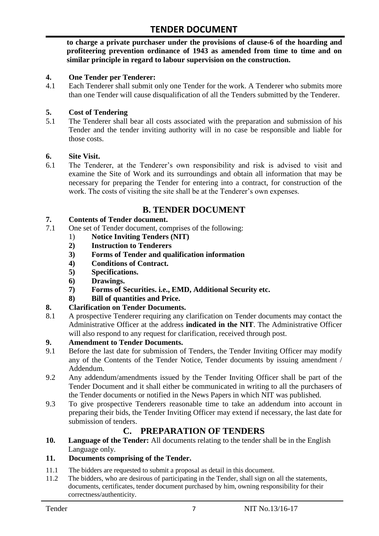**to charge a private purchaser under the provisions of clause-6 of the hoarding and profiteering prevention ordinance of 1943 as amended from time to time and on similar principle in regard to labour supervision on the construction.**

#### **4. One Tender per Tenderer:**

4.1 Each Tenderer shall submit only one Tender for the work. A Tenderer who submits more than one Tender will cause disqualification of all the Tenders submitted by the Tenderer.

#### **5. Cost of Tendering**

5.1 The Tenderer shall bear all costs associated with the preparation and submission of his Tender and the tender inviting authority will in no case be responsible and liable for those costs.

#### **6. Site Visit.**

6.1 The Tenderer, at the Tenderer"s own responsibility and risk is advised to visit and examine the Site of Work and its surroundings and obtain all information that may be necessary for preparing the Tender for entering into a contract, for construction of the work. The costs of visiting the site shall be at the Tenderer's own expenses.

### **B. TENDER DOCUMENT**

#### **7. Contents of Tender document.**

- 7.1 One set of Tender document, comprises of the following:
	- 1) **Notice Inviting Tenders (NIT)**
	- **2) Instruction to Tenderers**
	- **3) Forms of Tender and qualification information**
	- **4) Conditions of Contract.**
	- **5) Specifications.**
	- **6) Drawings.**
	- **7) Forms of Securities. i.e., EMD, Additional Security etc.**
	- **8) Bill of quantities and Price.**

#### **8. Clarification on Tender Documents.**

8.1 A prospective Tenderer requiring any clarification on Tender documents may contact the Administrative Officer at the address **indicated in the NIT**. The Administrative Officer will also respond to any request for clarification, received through post.

#### **9. Amendment to Tender Documents.**

- 9.1 Before the last date for submission of Tenders, the Tender Inviting Officer may modify any of the Contents of the Tender Notice, Tender documents by issuing amendment / Addendum.
- 9.2 Any addendum/amendments issued by the Tender Inviting Officer shall be part of the Tender Document and it shall either be communicated in writing to all the purchasers of the Tender documents or notified in the News Papers in which NIT was published.
- 9.3 To give prospective Tenderers reasonable time to take an addendum into account in preparing their bids, the Tender Inviting Officer may extend if necessary, the last date for submission of tenders.

# **C. PREPARATION OF TENDERS**

**10. Language of the Tender:** All documents relating to the tender shall be in the English Language only.

#### **11. Documents comprising of the Tender.**

- 11.1 The bidders are requested to submit a proposal as detail in this document.<br>11.2 The bidders, who are desirous of participating in the Tender, shall sign on
- The bidders, who are desirous of participating in the Tender, shall sign on all the statements, documents, certificates, tender document purchased by him, owning responsibility for their correctness/authenticity.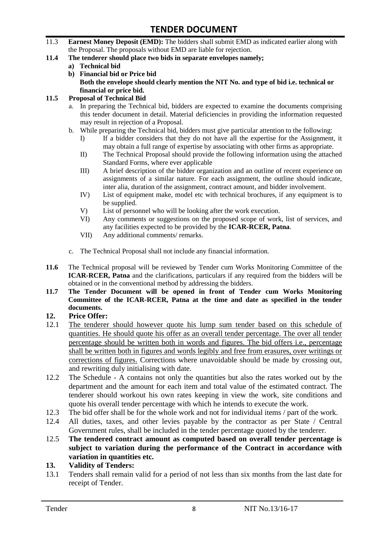- 11.3 **Earnest Money Deposit (EMD):** The bidders shall submit EMD as indicated earlier along with the Proposal. The proposals without EMD are liable for rejection.
- **11.4 The tenderer should place two bids in separate envelopes namely;**
	- **a) Technical bid**
	- **b) Financial bid or Price bid Both the envelope should clearly mention the NIT No. and type of bid i.e. technical or financial or price bid.**

#### **11.5 Proposal of Technical Bid**

- a. In preparing the Technical bid, bidders are expected to examine the documents comprising this tender document in detail. Material deficiencies in providing the information requested may result in rejection of a Proposal.
- b. While preparing the Technical bid, bidders must give particular attention to the following:
	- I) If a bidder considers that they do not have all the expertise for the Assignment, it may obtain a full range of expertise by associating with other firms as appropriate.
	- II) The Technical Proposal should provide the following information using the attached Standard Forms, where ever applicable
	- III) A brief description of the bidder organization and an outline of recent experience on assignments of a similar nature. For each assignment, the outline should indicate, inter alia, duration of the assignment, contract amount, and bidder involvement.
	- IV) List of equipment make, model etc with technical brochures, if any equipment is to be supplied.
	- V) List of personnel who will be looking after the work execution.
	- VI) Any comments or suggestions on the proposed scope of work, list of services, and any facilities expected to be provided by the **ICAR-RCER, Patna**.
	- VII) Any additional comments/ remarks.
- c. The Technical Proposal shall not include any financial information.
- **11.6** The Technical proposal will be reviewed by Tender cum Works Monitoring Committee of the **ICAR-RCER, Patna** and the clarifications, particulars if any required from the bidders will be obtained or in the conventional method by addressing the bidders.
- **11.7 The Tender Document will be opened in front of Tender cum Works Monitoring Committee of the ICAR-RCER, Patna at the time and date as specified in the tender documents.**

#### **12. Price Offer:**

- 12.1 The tenderer should however quote his lump sum tender based on this schedule of quantities. He should quote his offer as an overall tender percentage. The over all tender percentage should be written both in words and figures. The bid offers i.e., percentage shall be written both in figures and words legibly and free from erasures, over writings or corrections of figures. Corrections where unavoidable should be made by crossing out, and rewriting duly initialising with date.
- 12.2 The Schedule A contains not only the quantities but also the rates worked out by the department and the amount for each item and total value of the estimated contract. The tenderer should workout his own rates keeping in view the work, site conditions and quote his overall tender percentage with which he intends to execute the work.
- 12.3 The bid offer shall be for the whole work and not for individual items / part of the work.
- 12.4 All duties, taxes, and other levies payable by the contractor as per State / Central Government rules, shall be included in the tender percentage quoted by the tenderer.
- 12.5 **The tendered contract amount as computed based on overall tender percentage is subject to variation during the performance of the Contract in accordance with variation in quantities etc.**
- **13. Validity of Tenders:**
- 13.1 Tenders shall remain valid for a period of not less than six months from the last date for receipt of Tender.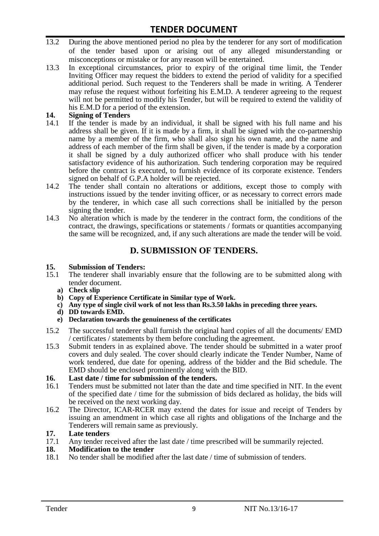- 13.2 During the above mentioned period no plea by the tenderer for any sort of modification of the tender based upon or arising out of any alleged misunderstanding or misconceptions or mistake or for any reason will be entertained.
- 13.3 In exceptional circumstances, prior to expiry of the original time limit, the Tender Inviting Officer may request the bidders to extend the period of validity for a specified additional period. Such request to the Tenderers shall be made in writing. A Tenderer may refuse the request without forfeiting his E.M.D. A tenderer agreeing to the request will not be permitted to modify his Tender, but will be required to extend the validity of his E.M.D for a period of the extension.

# 14. **Signing of Tenders**<br>14.1 If the tender is mag

- If the tender is made by an individual, it shall be signed with his full name and his address shall be given. If it is made by a firm, it shall be signed with the co-partnership name by a member of the firm, who shall also sign his own name, and the name and address of each member of the firm shall be given, if the tender is made by a corporation it shall be signed by a duly authorized officer who shall produce with his tender satisfactory evidence of his authorization. Such tendering corporation may be required before the contract is executed, to furnish evidence of its corporate existence. Tenders signed on behalf of G.P.A holder will be rejected.
- 14.2 The tender shall contain no alterations or additions, except those to comply with instructions issued by the tender inviting officer, or as necessary to correct errors made by the tenderer, in which case all such corrections shall be initialled by the person signing the tender.
- 14.3 No alteration which is made by the tenderer in the contract form, the conditions of the contract, the drawings, specifications or statements / formats or quantities accompanying the same will be recognized, and, if any such alterations are made the tender will be void.

# **D. SUBMISSION OF TENDERS.**

#### **15. Submission of Tenders:**

- 15.1 The tenderer shall invariably ensure that the following are to be submitted along with tender document.
	- **a) Check slip**
	- **b) Copy of Experience Certificate in Similar type of Work.**
	- **c) Any type of single civil work of not less than Rs.3.50 lakhs in preceding three years.**
	- **d) DD towards EMD.**
	- **e) Declaration towards the genuineness of the certificates**
- 15.2 The successful tenderer shall furnish the original hard copies of all the documents/ EMD / certificates / statements by them before concluding the agreement.
- 15.3 Submit tenders in as explained above. The tender should be submitted in a water proof covers and duly sealed. The cover should clearly indicate the Tender Number, Name of work tendered, due date for opening, address of the bidder and the Bid schedule. The EMD should be enclosed prominently along with the BID.

# **16. Last date / time for submission of the tenders.**

- 16.1 Tenders must be submitted not later than the date and time specified in NIT. In the event of the specified date / time for the submission of bids declared as holiday, the bids will be received on the next working day.
- 16.2 The Director, ICAR-RCER may extend the dates for issue and receipt of Tenders by issuing an amendment in which case all rights and obligations of the Incharge and the Tenderers will remain same as previously.

#### **17. Late tenders**

17.1 Any tender received after the last date / time prescribed will be summarily rejected.<br>18. Modification to the tender

# **18. Modification to the tender**<br>18.1 No tender shall be modified

No tender shall be modified after the last date / time of submission of tenders.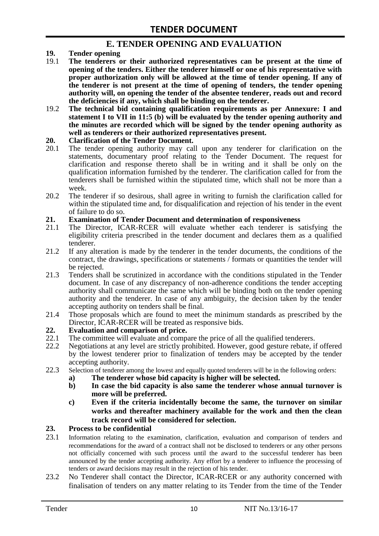### **E. TENDER OPENING AND EVALUATION**

- **19. Tender opening**
- 19.1 **The tenderers or their authorized representatives can be present at the time of opening of the tenders. Either the tenderer himself or one of his representative with proper authorization only will be allowed at the time of tender opening. If any of the tenderer is not present at the time of opening of tenders, the tender opening authority will, on opening the tender of the absentee tenderer, reads out and record the deficiencies if any, which shall be binding on the tenderer.**
- 19.2 **The technical bid containing qualification requirements as per Annexure: I and statement I to VII in 11:5 (b) will be evaluated by the tender opening authority and the minutes are recorded which will be signed by the tender opening authority as well as tenderers or their authorized representatives present.**

#### **20. Clarification of the Tender Document.**

- 20.1 The tender opening authority may call upon any tenderer for clarification on the statements, documentary proof relating to the Tender Document. The request for clarification and response thereto shall be in writing and it shall be only on the qualification information furnished by the tenderer. The clarification called for from the tenderers shall be furnished within the stipulated time, which shall not be more than a week.
- 20.2 The tenderer if so desirous, shall agree in writing to furnish the clarification called for within the stipulated time and, for disqualification and rejection of his tender in the event of failure to do so.

# **21. Examination of Tender Document and determination of responsiveness**

- 21.1 The Director, ICAR-RCER will evaluate whether each tenderer is satisfying the eligibility criteria prescribed in the tender document and declares them as a qualified tenderer.
- 21.2 If any alteration is made by the tenderer in the tender documents, the conditions of the contract, the drawings, specifications or statements / formats or quantities the tender will be rejected.
- 21.3 Tenders shall be scrutinized in accordance with the conditions stipulated in the Tender document. In case of any discrepancy of non-adherence conditions the tender accepting authority shall communicate the same which will be binding both on the tender opening authority and the tenderer. In case of any ambiguity, the decision taken by the tender accepting authority on tenders shall be final.
- 21.4 Those proposals which are found to meet the minimum standards as prescribed by the Director, ICAR-RCER will be treated as responsive bids.

# **22. Evaluation and comparison of price.**

- The committee will evaluate and compare the price of all the qualified tenderers.
- 22.2 Negotiations at any level are strictly prohibited. However, good gesture rebate, if offered by the lowest tenderer prior to finalization of tenders may be accepted by the tender accepting authority.
- 22.3 Selection of tenderer among the lowest and equally quoted tenderers will be in the following orders:
	- **a) The tenderer whose bid capacity is higher will be selected.**
	- **b) In case the bid capacity is also same the tenderer whose annual turnover is more will be preferred.**
	- **c) Even if the criteria incidentally become the same, the turnover on similar works and thereafter machinery available for the work and then the clean track record will be considered for selection.**

#### **23. Process to be confidential**

- 23.1 Information relating to the examination, clarification, evaluation and comparison of tenders and recommendations for the award of a contract shall not be disclosed to tenderers or any other persons not officially concerned with such process until the award to the successful tenderer has been announced by the tender accepting authority. Any effort by a tenderer to influence the processing of tenders or award decisions may result in the rejection of his tender.
- 23.2 No Tenderer shall contact the Director, ICAR-RCER or any authority concerned with finalisation of tenders on any matter relating to its Tender from the time of the Tender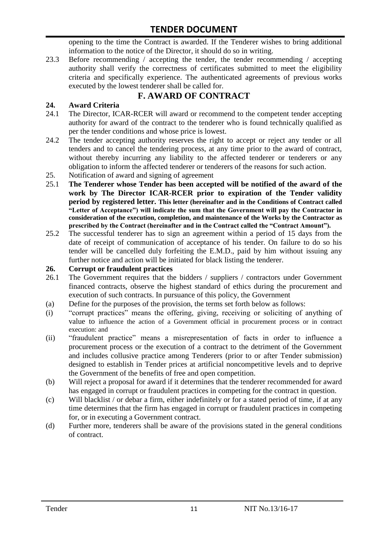opening to the time the Contract is awarded. If the Tenderer wishes to bring additional information to the notice of the Director, it should do so in writing.

23.3 Before recommending / accepting the tender, the tender recommending / accepting authority shall verify the correctness of certificates submitted to meet the eligibility criteria and specifically experience. The authenticated agreements of previous works executed by the lowest tenderer shall be called for.

# **F. AWARD OF CONTRACT**

### **24. Award Criteria**

- 24.1 The Director, ICAR-RCER will award or recommend to the competent tender accepting authority for award of the contract to the tenderer who is found technically qualified as per the tender conditions and whose price is lowest.
- 24.2 The tender accepting authority reserves the right to accept or reject any tender or all tenders and to cancel the tendering process, at any time prior to the award of contract, without thereby incurring any liability to the affected tenderer or tenderers or any obligation to inform the affected tenderer or tenderers of the reasons for such action.
- 25. Notification of award and signing of agreement
- 25.1 **The Tenderer whose Tender has been accepted will be notified of the award of the work by The Director ICAR-RCER prior to expiration of the Tender validity period by registered letter. This letter (hereinafter and in the Conditions of Contract called "Letter of Acceptance") will indicate the sum that the Government will pay the Contractor in consideration of the execution, completion, and maintenance of the Works by the Contractor as prescribed by the Contract (hereinafter and in the Contract called the "Contract Amount").**
- 25.2 The successful tenderer has to sign an agreement within a period of 15 days from the date of receipt of communication of acceptance of his tender. On failure to do so his tender will be cancelled duly forfeiting the E.M.D., paid by him without issuing any further notice and action will be initiated for black listing the tenderer.

#### **26. Corrupt or fraudulent practices**

- 26.1 The Government requires that the bidders / suppliers / contractors under Government financed contracts, observe the highest standard of ethics during the procurement and execution of such contracts. In pursuance of this policy, the Government
- (a) Define for the purposes of the provision, the terms set forth below as follows:
- (i) "corrupt practices" means the offering, giving, receiving or soliciting of anything of value to influence the action of a Government official in procurement process or in contract execution: and
- (ii) "fraudulent practice" means a misrepresentation of facts in order to influence a procurement process or the execution of a contract to the detriment of the Government and includes collusive practice among Tenderers (prior to or after Tender submission) designed to establish in Tender prices at artificial noncompetitive levels and to deprive the Government of the benefits of free and open competition.
- (b) Will reject a proposal for award if it determines that the tenderer recommended for award has engaged in corrupt or fraudulent practices in competing for the contract in question.
- (c) Will blacklist / or debar a firm, either indefinitely or for a stated period of time, if at any time determines that the firm has engaged in corrupt or fraudulent practices in competing for, or in executing a Government contract.
- (d) Further more, tenderers shall be aware of the provisions stated in the general conditions of contract.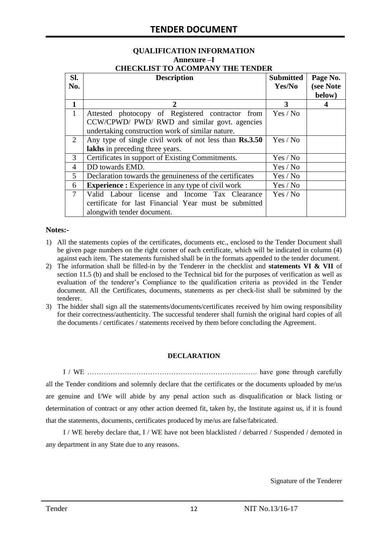# **QUALIFICATION INFORMATION Annexure –I**

| <b>CHECKLIST TO ACOMPANY THE TENDER</b> |  |
|-----------------------------------------|--|
|                                         |  |

| SI.<br>No.   | <b>Description</b>                                                                                                                                    | <b>Submitted</b><br>Yes/No | Page No.<br>(see Note<br>below) |  |  |  |
|--------------|-------------------------------------------------------------------------------------------------------------------------------------------------------|----------------------------|---------------------------------|--|--|--|
| 1            | 2                                                                                                                                                     | 3                          | 4                               |  |  |  |
| $\mathbf{1}$ | Attested photocopy of Registered contractor from<br>CCW/CPWD/ PWD/ RWD and similar govt. agencies<br>undertaking construction work of similar nature. | Yes / No                   |                                 |  |  |  |
| 2            | Any type of single civil work of not less than Rs.3.50<br>lakhs in preceding three years.                                                             | Yes / No                   |                                 |  |  |  |
| 3            | Certificates in support of Existing Commitments.                                                                                                      | Yes / No                   |                                 |  |  |  |
| 4            | DD towards EMD.<br>Yes / No                                                                                                                           |                            |                                 |  |  |  |
| 5            | Declaration towards the genuineness of the certificates<br>Yes / No                                                                                   |                            |                                 |  |  |  |
| 6            | <b>Experience :</b> Experience in any type of civil work<br>Yes / No                                                                                  |                            |                                 |  |  |  |
| $\tau$       | Valid Labour license and Income Tax Clearance<br>certificate for last Financial Year must be submitted<br>alongwith tender document.                  | Yes / No                   |                                 |  |  |  |

#### **Notes:-**

- 1) All the statements copies of the certificates, documents etc., enclosed to the Tender Document shall be given page numbers on the right corner of each certificate, which will be indicated in column (4) against each item. The statements furnished shall be in the formats appended to the tender document.
- 2) The information shall be filled-in by the Tenderer in the checklist and **statements VI & VII** of section 11.5 (b) and shall be enclosed to the Technical bid for the purposes of verification as well as evaluation of the tenderer"s Compliance to the qualification criteria as provided in the Tender document. All the Certificates, documents, statements as per check-list shall be submitted by the tenderer.
- 3) The bidder shall sign all the statements/documents/certificates received by him owing responsibility for their correctness/authenticity. The successful tenderer shall furnish the original hard copies of all the documents / certificates / statements received by them before concluding the Agreement.

#### **DECLARATION**

I / WE ………………………………………………………………. have gone through carefully all the Tender conditions and solemnly declare that the certificates or the documents uploaded by me/us are genuine and I/We will abide by any penal action such as disqualification or black listing or determination of contract or any other action deemed fit, taken by, the Institute against us, if it is found that the statements, documents, certificates produced by me/us are false/fabricated.

I / WE hereby declare that, I / WE have not been blacklisted / debarred / Suspended / demoted in any department in any State due to any reasons.

Signature of the Tenderer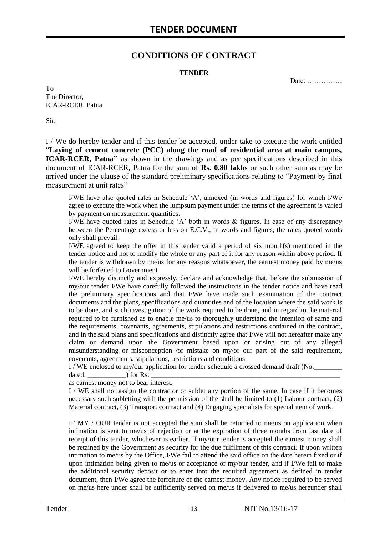### **CONDITIONS OF CONTRACT**

#### **TENDER**

Date: ……………

To The Director, ICAR-RCER, Patna

Sir,

I / We do hereby tender and if this tender be accepted, under take to execute the work entitled "**Laying of cement concrete (PCC) along the road of residential area at main campus, ICAR-RCER, Patna"** as shown in the drawings and as per specifications described in this document of ICAR-RCER, Patna for the sum of **Rs. 0.80 lakhs** or such other sum as may be arrived under the clause of the standard preliminary specifications relating to "Payment by final measurement at unit rates"

I/WE have also quoted rates in Schedule "A", annexed (in words and figures) for which I/We agree to execute the work when the lumpsum payment under the terms of the agreement is varied by payment on measurement quantities.

I/WE have quoted rates in Schedule "A" both in words & figures. In case of any discrepancy between the Percentage excess or less on E.C.V., in words and figures, the rates quoted words only shall prevail.

I/WE agreed to keep the offer in this tender valid a period of six month(s) mentioned in the tender notice and not to modify the whole or any part of it for any reason within above period. If the tender is withdrawn by me/us for any reasons whatsoever, the earnest money paid by me/us will be forfeited to Government

I/WE hereby distinctly and expressly, declare and acknowledge that, before the submission of my/our tender I/We have carefully followed the instructions in the tender notice and have read the preliminary specifications and that I/We have made such examination of the contract documents and the plans, specifications and quantities and of the location where the said work is to be done, and such investigation of the work required to be done, and in regard to the material required to be furnished as to enable me/us to thoroughly understand the intention of same and the requirements, covenants, agreements, stipulations and restrictions contained in the contract, and in the said plans and specifications and distinctly agree that I/We will not hereafter make any claim or demand upon the Government based upon or arising out of any alleged misunderstanding or misconception /or mistake on my/or our part of the said requirement, covenants, agreements, stipulations, restrictions and conditions.

I / WE enclosed to my/our application for tender schedule a crossed demand draft (No.

dated:  $\qquad \qquad$  ) for Rs:

as earnest money not to bear interest.

I / WE shall not assign the contractor or sublet any portion of the same. In case if it becomes necessary such subletting with the permission of the shall be limited to (1) Labour contract, (2) Material contract, (3) Transport contract and (4) Engaging specialists for special item of work.

IF MY / OUR tender is not accepted the sum shall be returned to me/us on application when intimation is sent to me/us of rejection or at the expiration of three months from last date of receipt of this tender, whichever is earlier. If my/our tender is accepted the earnest money shall be retained by the Government as security for the due fulfilment of this contract. If upon written intimation to me/us by the Office, I/We fail to attend the said office on the date herein fixed or if upon intimation being given to me/us or acceptance of my/our tender, and if I/We fail to make the additional security deposit or to enter into the required agreement as defined in tender document, then I/We agree the forfeiture of the earnest money. Any notice required to be served on me/us here under shall be sufficiently served on me/us if delivered to me/us hereunder shall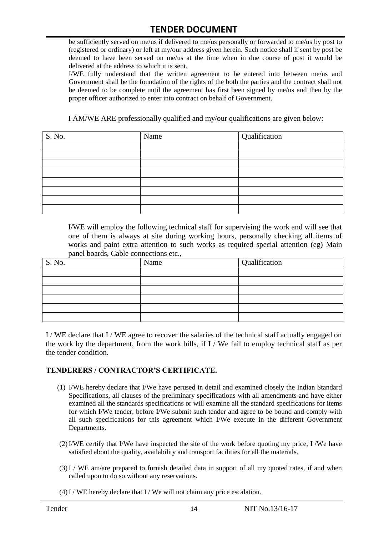be sufficiently served on me/us if delivered to me/us personally or forwarded to me/us by post to (registered or ordinary) or left at my/our address given herein. Such notice shall if sent by post be deemed to have been served on me/us at the time when in due course of post it would be delivered at the address to which it is sent.

I/WE fully understand that the written agreement to be entered into between me/us and Government shall be the foundation of the rights of the both the parties and the contract shall not be deemed to be complete until the agreement has first been signed by me/us and then by the proper officer authorized to enter into contract on behalf of Government.

I AM/WE ARE professionally qualified and my/our qualifications are given below:

| S. No. | Name | Qualification |
|--------|------|---------------|
|        |      |               |
|        |      |               |
|        |      |               |
|        |      |               |
|        |      |               |
|        |      |               |
|        |      |               |
|        |      |               |

I/WE will employ the following technical staff for supervising the work and will see that one of them is always at site during working hours, personally checking all items of works and paint extra attention to such works as required special attention (eg) Main panel boards, Cable connections etc.,

| S. No. | Name | Qualification |
|--------|------|---------------|
|        |      |               |
|        |      |               |
|        |      |               |
|        |      |               |
|        |      |               |
|        |      |               |

I / WE declare that I / WE agree to recover the salaries of the technical staff actually engaged on the work by the department, from the work bills, if I / We fail to employ technical staff as per the tender condition.

#### **TENDERERS / CONTRACTOR'S CERTIFICATE.**

- (1) I/WE hereby declare that I/We have perused in detail and examined closely the Indian Standard Specifications, all clauses of the preliminary specifications with all amendments and have either examined all the standards specifications or will examine all the standard specifications for items for which I/We tender, before I/We submit such tender and agree to be bound and comply with all such specifications for this agreement which I/We execute in the different Government Departments.
- (2)I/WE certify that I/We have inspected the site of the work before quoting my price, I /We have satisfied about the quality, availability and transport facilities for all the materials.
- (3)I / WE am/are prepared to furnish detailed data in support of all my quoted rates, if and when called upon to do so without any reservations.
- $(4)$  I / WE hereby declare that I / We will not claim any price escalation.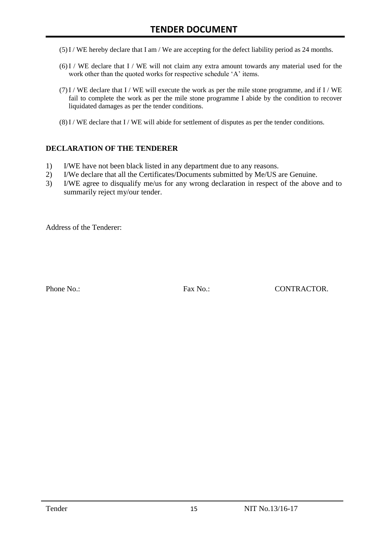- (5)I / WE hereby declare that I am / We are accepting for the defect liability period as 24 months.
- (6)I / WE declare that I / WE will not claim any extra amount towards any material used for the work other than the quoted works for respective schedule 'A' items.
- $(7)$ I / WE declare that I / WE will execute the work as per the mile stone programme, and if I / WE fail to complete the work as per the mile stone programme I abide by the condition to recover liquidated damages as per the tender conditions.
- $(8)$  I / WE declare that I / WE will abide for settlement of disputes as per the tender conditions.

#### **DECLARATION OF THE TENDERER**

- 1) I/WE have not been black listed in any department due to any reasons.
- 2) I/We declare that all the Certificates/Documents submitted by Me/US are Genuine.
- 3) I/WE agree to disqualify me/us for any wrong declaration in respect of the above and to summarily reject my/our tender.

Address of the Tenderer:

Phone No.: Fax No.: CONTRACTOR.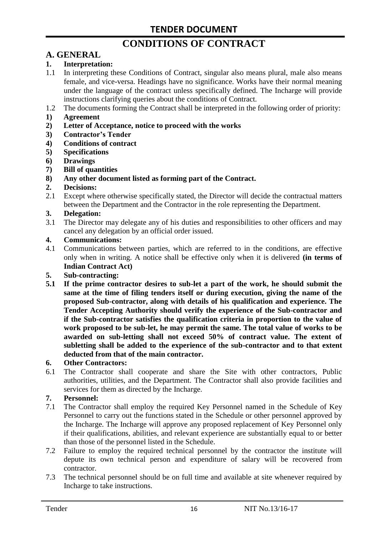# **CONDITIONS OF CONTRACT**

# **A. GENERAL**

#### **1. Interpretation:**

- 1.1 In interpreting these Conditions of Contract, singular also means plural, male also means female, and vice-versa. Headings have no significance. Works have their normal meaning under the language of the contract unless specifically defined. The Incharge will provide instructions clarifying queries about the conditions of Contract.
- 1.2 The documents forming the Contract shall be interpreted in the following order of priority:
- **1) Agreement**
- **2) Letter of Acceptance, notice to proceed with the works**
- **3) Contractor's Tender**
- **4) Conditions of contract**
- **5) Specifications**
- **6) Drawings**
- **7) Bill of quantities**
- **8) Any other document listed as forming part of the Contract.**

#### **2. Decisions:**

2.1 Except where otherwise specifically stated, the Director will decide the contractual matters between the Department and the Contractor in the role representing the Department.

#### **3. Delegation:**

3.1 The Director may delegate any of his duties and responsibilities to other officers and may cancel any delegation by an official order issued.

#### **4. Communications:**

4.1 Communications between parties, which are referred to in the conditions, are effective only when in writing. A notice shall be effective only when it is delivered **(in terms of Indian Contract Act)**

#### **5. Sub-contracting:**

**5.1 If the prime contractor desires to sub-let a part of the work, he should submit the same at the time of filing tenders itself or during execution, giving the name of the proposed Sub-contractor, along with details of his qualification and experience. The Tender Accepting Authority should verify the experience of the Sub-contractor and if the Sub-contractor satisfies the qualification criteria in proportion to the value of work proposed to be sub-let, he may permit the same. The total value of works to be awarded on sub-letting shall not exceed 50% of contract value. The extent of subletting shall be added to the experience of the sub-contractor and to that extent deducted from that of the main contractor.**

#### **6. Other Contractors:**

6.1 The Contractor shall cooperate and share the Site with other contractors, Public authorities, utilities, and the Department. The Contractor shall also provide facilities and services for them as directed by the Incharge.

#### **7. Personnel:**

- 7.1 The Contractor shall employ the required Key Personnel named in the Schedule of Key Personnel to carry out the functions stated in the Schedule or other personnel approved by the Incharge. The Incharge will approve any proposed replacement of Key Personnel only if their qualifications, abilities, and relevant experience are substantially equal to or better than those of the personnel listed in the Schedule.
- 7.2 Failure to employ the required technical personnel by the contractor the institute will depute its own technical person and expenditure of salary will be recovered from contractor.
- 7.3 The technical personnel should be on full time and available at site whenever required by Incharge to take instructions.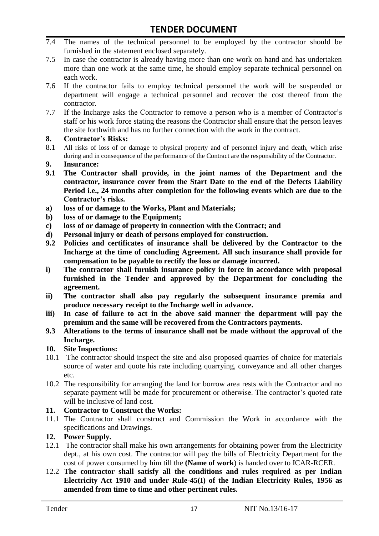- 7.4 The names of the technical personnel to be employed by the contractor should be furnished in the statement enclosed separately.
- 7.5 In case the contractor is already having more than one work on hand and has undertaken more than one work at the same time, he should employ separate technical personnel on each work.
- 7.6 If the contractor fails to employ technical personnel the work will be suspended or department will engage a technical personnel and recover the cost thereof from the contractor.
- 7.7 If the Incharge asks the Contractor to remove a person who is a member of Contractor"s staff or his work force stating the reasons the Contractor shall ensure that the person leaves the site forthwith and has no further connection with the work in the contract.

#### **8. Contractor's Risks:**

- 8.1 All risks of loss of or damage to physical property and of personnel injury and death, which arise during and in consequence of the performance of the Contract are the responsibility of the Contractor.
- **9. Insurance:**
- **9.1 The Contractor shall provide, in the joint names of the Department and the contractor, insurance cover from the Start Date to the end of the Defects Liability Period i.e., 24 months after completion for the following events which are due to the Contractor's risks.**
- **a) loss of or damage to the Works, Plant and Materials;**
- **b) loss of or damage to the Equipment;**
- **c) loss of or damage of property in connection with the Contract; and**
- **d) Personal injury or death of persons employed for construction.**
- **9.2 Policies and certificates of insurance shall be delivered by the Contractor to the Incharge at the time of concluding Agreement. All such insurance shall provide for compensation to be payable to rectify the loss or damage incurred.**
- **i) The contractor shall furnish insurance policy in force in accordance with proposal furnished in the Tender and approved by the Department for concluding the agreement.**
- **ii) The contractor shall also pay regularly the subsequent insurance premia and produce necessary receipt to the Incharge well in advance.**
- **iii) In case of failure to act in the above said manner the department will pay the premium and the same will be recovered from the Contractors payments.**
- **9.3 Alterations to the terms of insurance shall not be made without the approval of the Incharge.**

#### **10. Site Inspections:**

- 10.1 The contractor should inspect the site and also proposed quarries of choice for materials source of water and quote his rate including quarrying, conveyance and all other charges etc.
- 10.2 The responsibility for arranging the land for borrow area rests with the Contractor and no separate payment will be made for procurement or otherwise. The contractor's quoted rate will be inclusive of land cost.

#### **11. Contractor to Construct the Works:**

11.1 The Contractor shall construct and Commission the Work in accordance with the specifications and Drawings.

#### **12. Power Supply.**

- 12.1 The contractor shall make his own arrangements for obtaining power from the Electricity dept., at his own cost. The contractor will pay the bills of Electricity Department for the cost of power consumed by him till the **(Name of work**) is handed over to ICAR-RCER.
- 12.2 **The contractor shall satisfy all the conditions and rules required as per Indian Electricity Act 1910 and under Rule-45(I) of the Indian Electricity Rules, 1956 as amended from time to time and other pertinent rules.**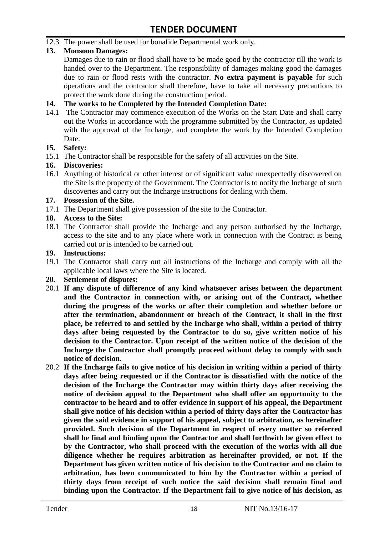12.3 The power shall be used for bonafide Departmental work only.

#### **13. Monsoon Damages:**

Damages due to rain or flood shall have to be made good by the contractor till the work is handed over to the Department. The responsibility of damages making good the damages due to rain or flood rests with the contractor. **No extra payment is payable** for such operations and the contractor shall therefore, have to take all necessary precautions to protect the work done during the construction period.

#### **14. The works to be Completed by the Intended Completion Date:**

14.1 The Contractor may commence execution of the Works on the Start Date and shall carry out the Works in accordance with the programme submitted by the Contractor, as updated with the approval of the Incharge, and complete the work by the Intended Completion Date.

#### **15. Safety:**

15.1 The Contractor shall be responsible for the safety of all activities on the Site.

#### **16. Discoveries:**

16.1 Anything of historical or other interest or of significant value unexpectedly discovered on the Site is the property of the Government. The Contractor is to notify the Incharge of such discoveries and carry out the Incharge instructions for dealing with them.

#### **17. Possession of the Site.**

17.1 The Department shall give possession of the site to the Contractor.

#### **18. Access to the Site:**

18.1 The Contractor shall provide the Incharge and any person authorised by the Incharge, access to the site and to any place where work in connection with the Contract is being carried out or is intended to be carried out.

#### **19. Instructions:**

- 19.1 The Contractor shall carry out all instructions of the Incharge and comply with all the applicable local laws where the Site is located.
- **20. Settlement of disputes:**
- 20.1 **If any dispute of difference of any kind whatsoever arises between the department and the Contractor in connection with, or arising out of the Contract, whether during the progress of the works or after their completion and whether before or after the termination, abandonment or breach of the Contract, it shall in the first place, be referred to and settled by the Incharge who shall, within a period of thirty days after being requested by the Contractor to do so, give written notice of his decision to the Contractor. Upon receipt of the written notice of the decision of the Incharge the Contractor shall promptly proceed without delay to comply with such notice of decision.**
- 20.2 **If the Incharge fails to give notice of his decision in writing within a period of thirty days after being requested or if the Contractor is dissatisfied with the notice of the decision of the Incharge the Contractor may within thirty days after receiving the notice of decision appeal to the Department who shall offer an opportunity to the contractor to be heard and to offer evidence in support of his appeal, the Department shall give notice of his decision within a period of thirty days after the Contractor has given the said evidence in support of his appeal, subject to arbitration, as hereinafter provided. Such decision of the Department in respect of every matter so referred shall be final and binding upon the Contractor and shall forthwith be given effect to by the Contractor, who shall proceed with the execution of the works with all due diligence whether he requires arbitration as hereinafter provided, or not. If the Department has given written notice of his decision to the Contractor and no claim to arbitration, has been communicated to him by the Contractor within a period of thirty days from receipt of such notice the said decision shall remain final and binding upon the Contractor. If the Department fail to give notice of his decision, as**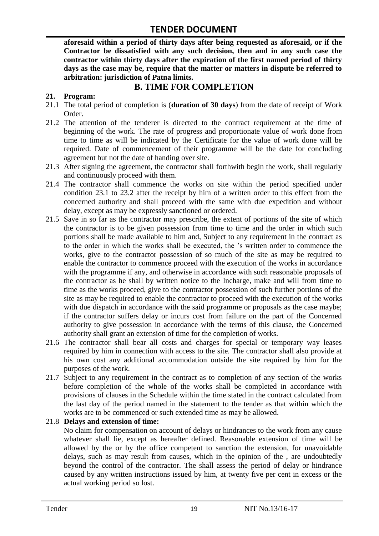**aforesaid within a period of thirty days after being requested as aforesaid, or if the Contractor be dissatisfied with any such decision, then and in any such case the contractor within thirty days after the expiration of the first named period of thirty days as the case may be, require that the matter or matters in dispute be referred to arbitration: jurisdiction of Patna limits.**

### **B. TIME FOR COMPLETION**

#### **21. Program:**

- 21.1 The total period of completion is (**duration of 30 days**) from the date of receipt of Work Order.
- 21.2 The attention of the tenderer is directed to the contract requirement at the time of beginning of the work. The rate of progress and proportionate value of work done from time to time as will be indicated by the Certificate for the value of work done will be required. Date of commencement of their programme will be the date for concluding agreement but not the date of handing over site.
- 21.3 After signing the agreement, the contractor shall forthwith begin the work, shall regularly and continuously proceed with them.
- 21.4 The contractor shall commence the works on site within the period specified under condition 23.1 to 23.2 after the receipt by him of a written order to this effect from the concerned authority and shall proceed with the same with due expedition and without delay, except as may be expressly sanctioned or ordered.
- 21.5 Save in so far as the contractor may prescribe, the extent of portions of the site of which the contractor is to be given possession from time to time and the order in which such portions shall be made available to him and, Subject to any requirement in the contract as to the order in which the works shall be executed, the "s written order to commence the works, give to the contractor possession of so much of the site as may be required to enable the contractor to commence proceed with the execution of the works in accordance with the programme if any, and otherwise in accordance with such reasonable proposals of the contractor as he shall by written notice to the Incharge, make and will from time to time as the works proceed, give to the contractor possession of such further portions of the site as may be required to enable the contractor to proceed with the execution of the works with due dispatch in accordance with the said programme or proposals as the case maybe; if the contractor suffers delay or incurs cost from failure on the part of the Concerned authority to give possession in accordance with the terms of this clause, the Concerned authority shall grant an extension of time for the completion of works.
- 21.6 The contractor shall bear all costs and charges for special or temporary way leases required by him in connection with access to the site. The contractor shall also provide at his own cost any additional accommodation outside the site required by him for the purposes of the work.
- 21.7 Subject to any requirement in the contract as to completion of any section of the works before completion of the whole of the works shall be completed in accordance with provisions of clauses in the Schedule within the time stated in the contract calculated from the last day of the period named in the statement to the tender as that within which the works are to be commenced or such extended time as may be allowed.

#### 21.8 **Delays and extension of time:**

No claim for compensation on account of delays or hindrances to the work from any cause whatever shall lie, except as hereafter defined. Reasonable extension of time will be allowed by the or by the office competent to sanction the extension, for unavoidable delays, such as may result from causes, which in the opinion of the , are undoubtedly beyond the control of the contractor. The shall assess the period of delay or hindrance caused by any written instructions issued by him, at twenty five per cent in excess or the actual working period so lost.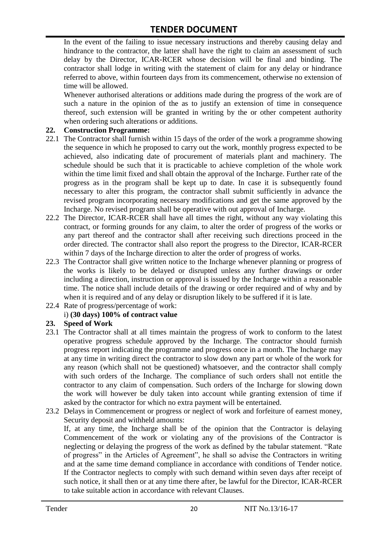In the event of the failing to issue necessary instructions and thereby causing delay and hindrance to the contractor, the latter shall have the right to claim an assessment of such delay by the Director, ICAR-RCER whose decision will be final and binding. The contractor shall lodge in writing with the statement of claim for any delay or hindrance referred to above, within fourteen days from its commencement, otherwise no extension of time will be allowed.

Whenever authorised alterations or additions made during the progress of the work are of such a nature in the opinion of the as to justify an extension of time in consequence thereof, such extension will be granted in writing by the or other competent authority when ordering such alterations or additions.

#### **22. Construction Programme:**

- 22.1 The Contractor shall furnish within 15 days of the order of the work a programme showing the sequence in which he proposed to carry out the work, monthly progress expected to be achieved, also indicating date of procurement of materials plant and machinery. The schedule should be such that it is practicable to achieve completion of the whole work within the time limit fixed and shall obtain the approval of the Incharge. Further rate of the progress as in the program shall be kept up to date. In case it is subsequently found necessary to alter this program, the contractor shall submit sufficiently in advance the revised program incorporating necessary modifications and get the same approved by the Incharge. No revised program shall be operative with out approval of Incharge.
- 22.2 The Director, ICAR-RCER shall have all times the right, without any way violating this contract, or forming grounds for any claim, to alter the order of progress of the works or any part thereof and the contractor shall after receiving such directions proceed in the order directed. The contractor shall also report the progress to the Director, ICAR-RCER within 7 days of the Incharge direction to alter the order of progress of works.
- 22.3 The Contractor shall give written notice to the Incharge whenever planning or progress of the works is likely to be delayed or disrupted unless any further drawings or order including a direction, instruction or approval is issued by the Incharge within a reasonable time. The notice shall include details of the drawing or order required and of why and by when it is required and of any delay or disruption likely to be suffered if it is late.
- 22.4 Rate of progress/percentage of work:

#### i) **(30 days) 100% of contract value**

#### **23. Speed of Work**

- 23.1 The Contractor shall at all times maintain the progress of work to conform to the latest operative progress schedule approved by the Incharge. The contractor should furnish progress report indicating the programme and progress once in a month. The Incharge may at any time in writing direct the contractor to slow down any part or whole of the work for any reason (which shall not be questioned) whatsoever, and the contractor shall comply with such orders of the Incharge. The compliance of such orders shall not entitle the contractor to any claim of compensation. Such orders of the Incharge for slowing down the work will however be duly taken into account while granting extension of time if asked by the contractor for which no extra payment will be entertained.
- 23.2 Delays in Commencement or progress or neglect of work and forfeiture of earnest money, Security deposit and withheld amounts:

If, at any time, the Incharge shall be of the opinion that the Contractor is delaying Commencement of the work or violating any of the provisions of the Contractor is neglecting or delaying the progress of the work as defined by the tabular statement. "Rate of progress" in the Articles of Agreement", he shall so advise the Contractors in writing and at the same time demand compliance in accordance with conditions of Tender notice. If the Contractor neglects to comply with such demand within seven days after receipt of such notice, it shall then or at any time there after, be lawful for the Director, ICAR-RCER to take suitable action in accordance with relevant Clauses.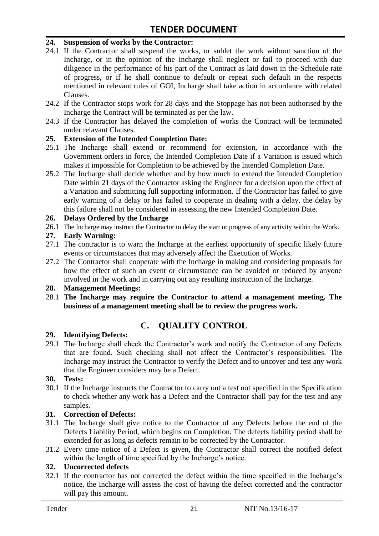#### **24. Suspension of works by the Contractor:**

- 24.1 If the Contractor shall suspend the works, or sublet the work without sanction of the Incharge, or in the opinion of the Incharge shall neglect or fail to proceed with due diligence in the performance of his part of the Contract as laid down in the Schedule rate of progress, or if he shall continue to default or repeat such default in the respects mentioned in relevant rules of GOI, Incharge shall take action in accordance with related Clauses.
- 24.2 If the Contractor stops work for 28 days and the Stoppage has not been authorised by the Incharge the Contract will be terminated as per the law.
- 24.3 If the Contractor has delayed the completion of works the Contract will be terminated under relavant Clauses.

#### **25. Extension of the Intended Completion Date:**

- 25.1 The Incharge shall extend or recommend for extension, in accordance with the Government orders in force, the Intended Completion Date if a Variation is issued which makes it impossible for Completion to be achieved by the Intended Completion Date.
- 25.2 The Incharge shall decide whether and by how much to extend the Intended Completion Date within 21 days of the Contractor asking the Engineer for a decision upon the effect of a Variation and submitting full supporting information. If the Contractor has failed to give early warning of a delay or has failed to cooperate in dealing with a delay, the delay by this failure shall not be considered in assessing the new Intended Completion Date.

#### **26. Delays Ordered by the Incharge**

26.1 The Incharge may instruct the Contractor to delay the start or progress of any activity within the Work.

#### **27. Early Warning:**

- 27.1 The contractor is to warn the Incharge at the earliest opportunity of specific likely future events or circumstances that may adversely affect the Execution of Works.
- 27.2 The Contractor shall cooperate with the Incharge in making and considering proposals for how the effect of such an event or circumstance can be avoided or reduced by anyone involved in the work and in carrying out any resulting instruction of the Incharge.

#### **28. Management Meetings:**

28.1 **The Incharge may require the Contractor to attend a management meeting. The business of a management meeting shall be to review the progress work.**

# **C. QUALITY CONTROL**

#### **29. Identifying Defects:**

29.1 The Incharge shall check the Contractor's work and notify the Contractor of any Defects that are found. Such checking shall not affect the Contractor"s responsibilities. The Incharge may instruct the Contractor to verify the Defect and to uncover and test any work that the Engineer considers may be a Defect.

#### **30. Tests:**

30.1 If the Incharge instructs the Contractor to carry out a test not specified in the Specification to check whether any work has a Defect and the Contractor shall pay for the test and any samples.

#### **31. Correction of Defects:**

- 31.1 The Incharge shall give notice to the Contractor of any Defects before the end of the Defects Liability Period, which begins on Completion. The defects liability period shall be extended for as long as defects remain to be corrected by the Contractor.
- 31.2 Every time notice of a Defect is given, the Contractor shall correct the notified defect within the length of time specified by the Incharge's notice.

#### **32. Uncorrected defects**

32.1 If the contractor has not corrected the defect within the time specified in the Incharge"s notice, the Incharge will assess the cost of having the defect corrected and the contractor will pay this amount.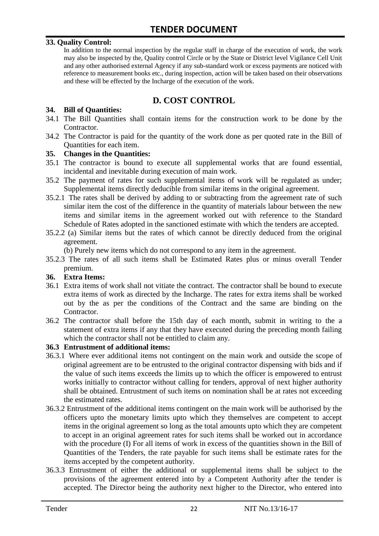#### **33. Quality Control:**

In addition to the normal inspection by the regular staff in charge of the execution of work, the work may also be inspected by the, Quality control Circle or by the State or District level Vigilance Cell Unit and any other authorised external Agency if any sub-standard work or excess payments are noticed with reference to measurement books etc., during inspection, action will be taken based on their observations and these will be effected by the Incharge of the execution of the work.

# **D. COST CONTROL**

#### **34. Bill of Quantities:**

- 34.1 The Bill Quantities shall contain items for the construction work to be done by the Contractor.
- 34.2 The Contractor is paid for the quantity of the work done as per quoted rate in the Bill of Quantities for each item.

#### **35. Changes in the Quantities:**

- 35.1 The contractor is bound to execute all supplemental works that are found essential, incidental and inevitable during execution of main work.
- 35.2 The payment of rates for such supplemental items of work will be regulated as under; Supplemental items directly deducible from similar items in the original agreement.
- 35.2.1 The rates shall be derived by adding to or subtracting from the agreement rate of such similar item the cost of the difference in the quantity of materials labour between the new items and similar items in the agreement worked out with reference to the Standard Schedule of Rates adopted in the sanctioned estimate with which the tenders are accepted.
- 35.2.2 (a) Similar items but the rates of which cannot be directly deduced from the original agreement.

(b) Purely new items which do not correspond to any item in the agreement.

35.2.3 The rates of all such items shall be Estimated Rates plus or minus overall Tender premium.

#### **36. Extra Items:**

- 36.1 Extra items of work shall not vitiate the contract. The contractor shall be bound to execute extra items of work as directed by the Incharge. The rates for extra items shall be worked out by the as per the conditions of the Contract and the same are binding on the Contractor.
- 36.2 The contractor shall before the 15th day of each month, submit in writing to the a statement of extra items if any that they have executed during the preceding month failing which the contractor shall not be entitled to claim any.

#### **36.3 Entrustment of additional items:**

- 36.3.1 Where ever additional items not contingent on the main work and outside the scope of original agreement are to be entrusted to the original contractor dispensing with bids and if the value of such items exceeds the limits up to which the officer is empowered to entrust works initially to contractor without calling for tenders, approval of next higher authority shall be obtained. Entrustment of such items on nomination shall be at rates not exceeding the estimated rates.
- 36.3.2 Entrustment of the additional items contingent on the main work will be authorised by the officers upto the monetary limits upto which they themselves are competent to accept items in the original agreement so long as the total amounts upto which they are competent to accept in an original agreement rates for such items shall be worked out in accordance with the procedure (I) For all items of work in excess of the quantities shown in the Bill of Quantities of the Tenders, the rate payable for such items shall be estimate rates for the items accepted by the competent authority.
- 36.3.3 Entrustment of either the additional or supplemental items shall be subject to the provisions of the agreement entered into by a Competent Authority after the tender is accepted. The Director being the authority next higher to the Director, who entered into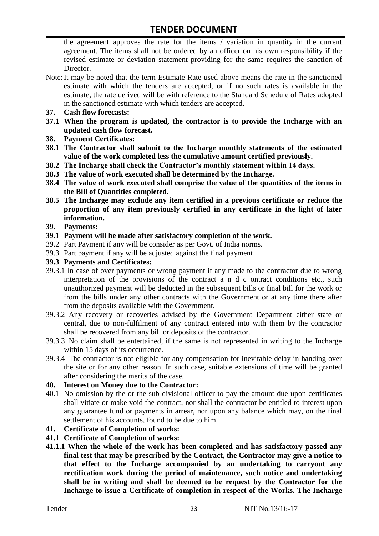the agreement approves the rate for the items / variation in quantity in the current agreement. The items shall not be ordered by an officer on his own responsibility if the revised estimate or deviation statement providing for the same requires the sanction of Director.

- Note:It may be noted that the term Estimate Rate used above means the rate in the sanctioned estimate with which the tenders are accepted, or if no such rates is available in the estimate, the rate derived will be with reference to the Standard Schedule of Rates adopted in the sanctioned estimate with which tenders are accepted.
- **37. Cash flow forecasts:**
- **37.1 When the program is updated, the contractor is to provide the Incharge with an updated cash flow forecast.**
- **38. Payment Certificates:**
- **38.1 The Contractor shall submit to the Incharge monthly statements of the estimated value of the work completed less the cumulative amount certified previously.**
- **38.2 The Incharge shall check the Contractor's monthly statement within 14 days.**
- **38.3 The value of work executed shall be determined by the Incharge.**
- **38.4 The value of work executed shall comprise the value of the quantities of the items in the Bill of Quantities completed.**
- **38.5 The Incharge may exclude any item certified in a previous certificate or reduce the proportion of any item previously certified in any certificate in the light of later information.**
- **39. Payments:**
- **39.1 Payment will be made after satisfactory completion of the work.**
- 39.2 Part Payment if any will be consider as per Govt. of India norms.
- 39.3 Part payment if any will be adjusted against the final payment
- **39.3 Payments and Certificates:**
- 39.3.1 In case of over payments or wrong payment if any made to the contractor due to wrong interpretation of the provisions of the contract a n d c ontract conditions etc., such unauthorized payment will be deducted in the subsequent bills or final bill for the work or from the bills under any other contracts with the Government or at any time there after from the deposits available with the Government.
- 39.3.2 Any recovery or recoveries advised by the Government Department either state or central, due to non-fulfilment of any contract entered into with them by the contractor shall be recovered from any bill or deposits of the contractor.
- 39.3.3 No claim shall be entertained, if the same is not represented in writing to the Incharge within 15 days of its occurrence.
- 39.3.4 The contractor is not eligible for any compensation for inevitable delay in handing over the site or for any other reason. In such case, suitable extensions of time will be granted after considering the merits of the case.

#### **40. Interest on Money due to the Contractor:**

- 40.1 No omission by the or the sub-divisional officer to pay the amount due upon certificates shall vitiate or make void the contract, nor shall the contractor be entitled to interest upon any guarantee fund or payments in arrear, nor upon any balance which may, on the final settlement of his accounts, found to be due to him.
- **41. Certificate of Completion of works:**
- **41.1 Certificate of Completion of works:**
- **41.1.1 When the whole of the work has been completed and has satisfactory passed any final test that may be prescribed by the Contract, the Contractor may give a notice to that effect to the Incharge accompanied by an undertaking to carryout any rectification work during the period of maintenance, such notice and undertaking shall be in writing and shall be deemed to be request by the Contractor for the Incharge to issue a Certificate of completion in respect of the Works. The Incharge**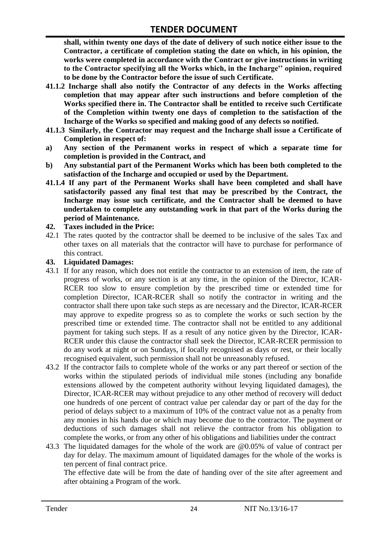**shall, within twenty one days of the date of delivery of such notice either issue to the Contractor, a certificate of completion stating the date on which, in his opinion, the works were completed in accordance with the Contract or give instructions in writing to the Contractor specifying all the Works which, in the Incharge'' opinion, required to be done by the Contractor before the issue of such Certificate.**

- **41.1.2 Incharge shall also notify the Contractor of any defects in the Works affecting completion that may appear after such instructions and before completion of the Works specified there in. The Contractor shall be entitled to receive such Certificate of the Completion within twenty one days of completion to the satisfaction of the Incharge of the Works so specified and making good of any defects so notified.**
- **41.1.3 Similarly, the Contractor may request and the Incharge shall issue a Certificate of Completion in respect of:**
- **a) Any section of the Permanent works in respect of which a separate time for completion is provided in the Contract, and**
- **b) Any substantial part of the Permanent Works which has been both completed to the satisfaction of the Incharge and occupied or used by the Department.**
- **41.1.4 If any part of the Permanent Works shall have been completed and shall have satisfactorily passed any final test that may be prescribed by the Contract, the Incharge may issue such certificate, and the Contractor shall be deemed to have undertaken to complete any outstanding work in that part of the Works during the period of Maintenance.**

#### **42. Taxes included in the Price:**

42.1 The rates quoted by the contractor shall be deemed to be inclusive of the sales Tax and other taxes on all materials that the contractor will have to purchase for performance of this contract.

#### **43. Liquidated Damages:**

- 43.1 If for any reason, which does not entitle the contractor to an extension of item, the rate of progress of works, or any section is at any time, in the opinion of the Director, ICAR-RCER too slow to ensure completion by the prescribed time or extended time for completion Director, ICAR-RCER shall so notify the contractor in writing and the contractor shall there upon take such steps as are necessary and the Director, ICAR-RCER may approve to expedite progress so as to complete the works or such section by the prescribed time or extended time. The contractor shall not be entitled to any additional payment for taking such steps. If as a result of any notice given by the Director, ICAR-RCER under this clause the contractor shall seek the Director, ICAR-RCER permission to do any work at night or on Sundays, if locally recognised as days or rest, or their locally recognised equivalent, such permission shall not be unreasonably refused.
- 43.2 If the contractor fails to complete whole of the works or any part thereof or section of the works within the stipulated periods of individual mile stones (including any bonafide extensions allowed by the competent authority without levying liquidated damages), the Director, ICAR-RCER may without prejudice to any other method of recovery will deduct one hundreds of one percent of contract value per calendar day or part of the day for the period of delays subject to a maximum of 10% of the contract value not as a penalty from any monies in his hands due or which may become due to the contractor. The payment or deductions of such damages shall not relieve the contractor from his obligation to complete the works, or from any other of his obligations and liabilities under the contract
- 43.3 The liquidated damages for the whole of the work are @0.05% of value of contract per day for delay. The maximum amount of liquidated damages for the whole of the works is ten percent of final contract price.

The effective date will be from the date of handing over of the site after agreement and after obtaining a Program of the work.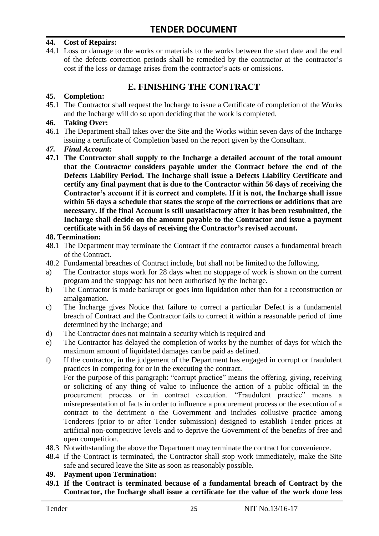#### **44. Cost of Repairs:**

44.1 Loss or damage to the works or materials to the works between the start date and the end of the defects correction periods shall be remedied by the contractor at the contractor"s cost if the loss or damage arises from the contractor's acts or omissions.

# **E. FINISHING THE CONTRACT**

#### **45. Completion:**

45.1 The Contractor shall request the Incharge to issue a Certificate of completion of the Works and the Incharge will do so upon deciding that the work is completed.

#### **46. Taking Over:**

- 46.1 The Department shall takes over the Site and the Works within seven days of the Incharge issuing a certificate of Completion based on the report given by the Consultant.
- *47. Final Account:*
- **47.1 The Contractor shall supply to the Incharge a detailed account of the total amount that the Contractor considers payable under the Contract before the end of the Defects Liability Period. The Incharge shall issue a Defects Liability Certificate and certify any final payment that is due to the Contractor within 56 days of receiving the Contractor's account if it is correct and complete. If it is not, the Incharge shall issue within 56 days a schedule that states the scope of the corrections or additions that are necessary. If the final Account is still unsatisfactory after it has been resubmitted, the Incharge shall decide on the amount payable to the Contractor and issue a payment certificate with in 56 days of receiving the Contractor's revised account.**

#### **48. Termination:**

- 48.1 The Department may terminate the Contract if the contractor causes a fundamental breach of the Contract.
- 48.2 Fundamental breaches of Contract include, but shall not be limited to the following.
- a) The Contractor stops work for 28 days when no stoppage of work is shown on the current program and the stoppage has not been authorised by the Incharge.
- b) The Contractor is made bankrupt or goes into liquidation other than for a reconstruction or amalgamation.
- c) The Incharge gives Notice that failure to correct a particular Defect is a fundamental breach of Contract and the Contractor fails to correct it within a reasonable period of time determined by the Incharge; and
- d) The Contractor does not maintain a security which is required and
- e) The Contractor has delayed the completion of works by the number of days for which the maximum amount of liquidated damages can be paid as defined.
- f) If the contractor, in the judgement of the Department has engaged in corrupt or fraudulent practices in competing for or in the executing the contract.

For the purpose of this paragraph: "corrupt practice" means the offering, giving, receiving or soliciting of any thing of value to influence the action of a public official in the procurement process or in contract execution. "Fraudulent practice" means a misrepresentation of facts in order to influence a procurement process or the execution of a contract to the detriment o the Government and includes collusive practice among Tenderers (prior to or after Tender submission) designed to establish Tender prices at artificial non-competitive levels and to deprive the Government of the benefits of free and open competition.

- 48.3 Notwithstanding the above the Department may terminate the contract for convenience.
- 48.4 If the Contract is terminated, the Contractor shall stop work immediately, make the Site safe and secured leave the Site as soon as reasonably possible.

#### **49. Payment upon Termination:**

**49.1 If the Contract is terminated because of a fundamental breach of Contract by the Contractor, the Incharge shall issue a certificate for the value of the work done less**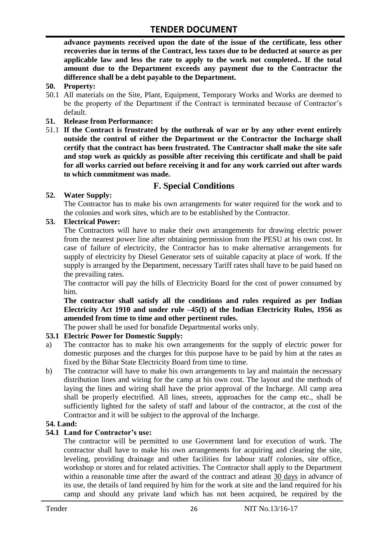**advance payments received upon the date of the issue of the certificate, less other recoveries due in terms of the Contract, less taxes due to be deducted at source as per applicable law and less the rate to apply to the work not completed.. If the total amount due to the Department exceeds any payment due to the Contractor the difference shall be a debt payable to the Department.**

- **50. Property:**
- 50.1 All materials on the Site, Plant, Equipment, Temporary Works and Works are deemed to be the property of the Department if the Contract is terminated because of Contractor's default.
- **51. Release from Performance:**
- 51.1 **If the Contract is frustrated by the outbreak of war or by any other event entirely outside the control of either the Department or the Contractor the Incharge shall certify that the contract has been frustrated. The Contractor shall make the site safe and stop work as quickly as possible after receiving this certificate and shall be paid for all works carried out before receiving it and for any work carried out after wards to which commitment was made.**

# **F. Special Conditions**

#### **52. Water Supply:**

The Contractor has to make his own arrangements for water required for the work and to the colonies and work sites, which are to be established by the Contractor.

#### **53. Electrical Power:**

The Contractors will have to make their own arrangements for drawing electric power from the nearest power line after obtaining permission from the PESU at his own cost. In case of failure of electricity, the Contractor has to make alternative arrangements for supply of electricity by Diesel Generator sets of suitable capacity at place of work. If the supply is arranged by the Department, necessary Tariff rates shall have to be paid based on the prevailing rates.

The contractor will pay the bills of Electricity Board for the cost of power consumed by him.

**The contractor shall satisfy all the conditions and rules required as per Indian Electricity Act 1910 and under rule –45(I) of the Indian Electricity Rules, 1956 as amended from time to time and other pertinent rules.**

The power shall be used for bonafide Departmental works only.

#### **53.1 Electric Power for Domestic Supply:**

- a) The contractor has to make his own arrangements for the supply of electric power for domestic purposes and the charges for this purpose have to be paid by him at the rates as fixed by the Bihar State Electricity Board from time to time.
- b) The contractor will have to make his own arrangements to lay and maintain the necessary distribution lines and wiring for the camp at his own cost. The layout and the methods of laying the lines and wiring shall have the prior approval of the Incharge. All camp area shall be properly electrified. All lines, streets, approaches for the camp etc., shall be sufficiently lighted for the safety of staff and labour of the contractor, at the cost of the Contractor and it will be subject to the approval of the Incharge.

#### **54. Land:**

#### **54.1 Land for Contractor's use:**

The contractor will be permitted to use Government land for execution of work. The contractor shall have to make his own arrangements for acquiring and clearing the site, leveling, providing drainage and other facilities for labour staff colonies, site office, workshop or stores and for related activities. The Contractor shall apply to the Department within a reasonable time after the award of the contract and atleast 30 days in advance of its use, the details of land required by him for the work at site and the land required for his camp and should any private land which has not been acquired, be required by the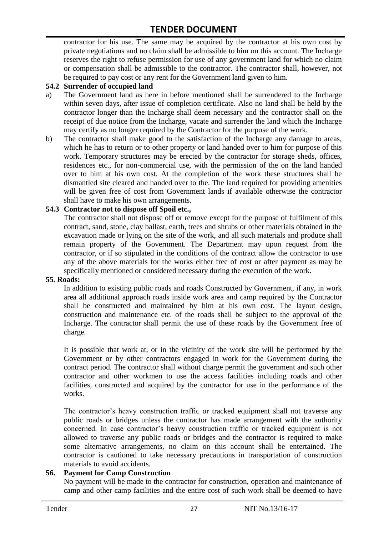contractor for his use. The same may be acquired by the contractor at his own cost by private negotiations and no claim shall be admissible to him on this account. The Incharge reserves the right to refuse permission for use of any government land for which no claim or compensation shall be admissible to the contractor. The contractor shall, however, not be required to pay cost or any rent for the Government land given to him.

#### **54.2 Surrender of occupied land**

- a) The Government land as here in before mentioned shall be surrendered to the Incharge within seven days, after issue of completion certificate. Also no land shall be held by the contractor longer than the Incharge shall deem necessary and the contractor shall on the receipt of due notice from the Incharge, vacate and surrender the land which the Incharge may certify as no longer required by the Contractor for the purpose of the work.
- b) The contractor shall make good to the satisfaction of the Incharge any damage to areas, which he has to return or to other property or land handed over to him for purpose of this work. Temporary structures may be erected by the contractor for storage sheds, offices, residences etc., for non-commercial use, with the permission of the on the land handed over to him at his own cost. At the completion of the work these structures shall be dismantled site cleared and handed over to the. The land required for providing amenities will be given free of cost from Government lands if available otherwise the contractor shall have to make his own arrangements.

#### **54.3 Contractor not to dispose off Spoil etc.,**

The contractor shall not dispose off or remove except for the purpose of fulfilment of this contract, sand, stone, clay ballast, earth, trees and shrubs or other materials obtained in the excavation made or lying on the site of the work, and all such materials and produce shall remain property of the Government. The Department may upon request from the contractor, or if so stipulated in the conditions of the contract allow the contractor to use any of the above materials for the works either free of cost or after payment as may be specifically mentioned or considered necessary during the execution of the work.

#### **55. Roads:**

In addition to existing public roads and roads Constructed by Government, if any, in work area all additional approach roads inside work area and camp required by the Contractor shall be constructed and maintained by him at his own cost. The layout design, construction and maintenance etc. of the roads shall be subject to the approval of the Incharge. The contractor shall permit the use of these roads by the Government free of charge.

It is possible that work at, or in the vicinity of the work site will be performed by the Government or by other contractors engaged in work for the Government during the contract period. The contractor shall without charge permit the government and such other contractor and other workmen to use the access facilities including roads and other facilities, constructed and acquired by the contractor for use in the performance of the works.

The contractor's heavy construction traffic or tracked equipment shall not traverse any public roads or bridges unless the contractor has made arrangement with the authority concerned. In case contractor"s heavy construction traffic or tracked equipment is not allowed to traverse any public roads or bridges and the contractor is required to make some alternative arrangements, no claim on this account shall be entertained. The contractor is cautioned to take necessary precautions in transportation of construction materials to avoid accidents.

#### **56. Payment for Camp Construction**

No payment will be made to the contractor for construction, operation and maintenance of camp and other camp facilities and the entire cost of such work shall be deemed to have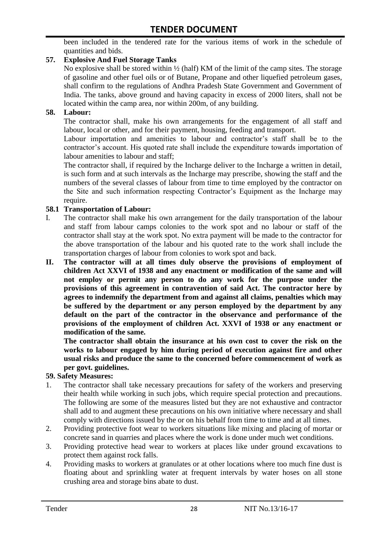been included in the tendered rate for the various items of work in the schedule of quantities and bids.

#### **57. Explosive And Fuel Storage Tanks**

No explosive shall be stored within ½ (half) KM of the limit of the camp sites. The storage of gasoline and other fuel oils or of Butane, Propane and other liquefied petroleum gases, shall confirm to the regulations of Andhra Pradesh State Government and Government of India. The tanks, above ground and having capacity in excess of 2000 liters, shall not be located within the camp area, nor within 200m, of any building.

#### **58. Labour:**

The contractor shall, make his own arrangements for the engagement of all staff and labour, local or other, and for their payment, housing, feeding and transport.

Labour importation and amenities to labour and contractor's staff shall be to the contractor's account. His quoted rate shall include the expenditure towards importation of labour amenities to labour and staff;

The contractor shall, if required by the Incharge deliver to the Incharge a written in detail, is such form and at such intervals as the Incharge may prescribe, showing the staff and the numbers of the several classes of labour from time to time employed by the contractor on the Site and such information respecting Contractor"s Equipment as the Incharge may require.

#### **58.1 Transportation of Labour:**

- I. The contractor shall make his own arrangement for the daily transportation of the labour and staff from labour camps colonies to the work spot and no labour or staff of the contractor shall stay at the work spot. No extra payment will be made to the contractor for the above transportation of the labour and his quoted rate to the work shall include the transportation charges of labour from colonies to work spot and back.
- **II. The contractor will at all times duly observe the provisions of employment of children Act XXVI of 1938 and any enactment or modification of the same and will not employ or permit any person to do any work for the purpose under the provisions of this agreement in contravention of said Act. The contractor here by agrees to indemnify the department from and against all claims, penalties which may be suffered by the department or any person employed by the department by any default on the part of the contractor in the observance and performance of the provisions of the employment of children Act. XXVI of 1938 or any enactment or modification of the same.**

**The contractor shall obtain the insurance at his own cost to cover the risk on the works to labour engaged by him during period of execution against fire and other usual risks and produce the same to the concerned before commencement of work as per govt. guidelines.**

#### **59. Safety Measures:**

- 1. The contractor shall take necessary precautions for safety of the workers and preserving their health while working in such jobs, which require special protection and precautions. The following are some of the measures listed but they are not exhaustive and contractor shall add to and augment these precautions on his own initiative where necessary and shall comply with directions issued by the or on his behalf from time to time and at all times.
- 2. Providing protective foot wear to workers situations like mixing and placing of mortar or concrete sand in quarries and places where the work is done under much wet conditions.
- 3. Providing protective head wear to workers at places like under ground excavations to protect them against rock falls.
- 4. Providing masks to workers at granulates or at other locations where too much fine dust is floating about and sprinkling water at frequent intervals by water hoses on all stone crushing area and storage bins abate to dust.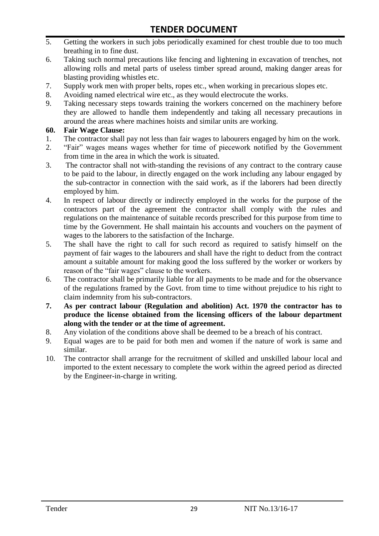- 5. Getting the workers in such jobs periodically examined for chest trouble due to too much breathing in to fine dust.
- 6. Taking such normal precautions like fencing and lightening in excavation of trenches, not allowing rolls and metal parts of useless timber spread around, making danger areas for blasting providing whistles etc.
- 7. Supply work men with proper belts, ropes etc., when working in precarious slopes etc.
- 8. Avoiding named electrical wire etc., as they would electrocute the works.
- 9. Taking necessary steps towards training the workers concerned on the machinery before they are allowed to handle them independently and taking all necessary precautions in around the areas where machines hoists and similar units are working.

#### **60. Fair Wage Clause:**

- 1. The contractor shall pay not less than fair wages to labourers engaged by him on the work.
- 2. "Fair" wages means wages whether for time of piecework notified by the Government from time in the area in which the work is situated.
- 3. The contractor shall not with-standing the revisions of any contract to the contrary cause to be paid to the labour, in directly engaged on the work including any labour engaged by the sub-contractor in connection with the said work, as if the laborers had been directly employed by him.
- 4. In respect of labour directly or indirectly employed in the works for the purpose of the contractors part of the agreement the contractor shall comply with the rules and regulations on the maintenance of suitable records prescribed for this purpose from time to time by the Government. He shall maintain his accounts and vouchers on the payment of wages to the laborers to the satisfaction of the Incharge.
- 5. The shall have the right to call for such record as required to satisfy himself on the payment of fair wages to the labourers and shall have the right to deduct from the contract amount a suitable amount for making good the loss suffered by the worker or workers by reason of the "fair wages" clause to the workers.
- 6. The contractor shall be primarily liable for all payments to be made and for the observance of the regulations framed by the Govt. from time to time without prejudice to his right to claim indemnity from his sub-contractors.
- **7. As per contract labour (Regulation and abolition) Act. 1970 the contractor has to produce the license obtained from the licensing officers of the labour department along with the tender or at the time of agreement.**
- 8. Any violation of the conditions above shall be deemed to be a breach of his contract.
- 9. Equal wages are to be paid for both men and women if the nature of work is same and similar.
- 10. The contractor shall arrange for the recruitment of skilled and unskilled labour local and imported to the extent necessary to complete the work within the agreed period as directed by the Engineer-in-charge in writing.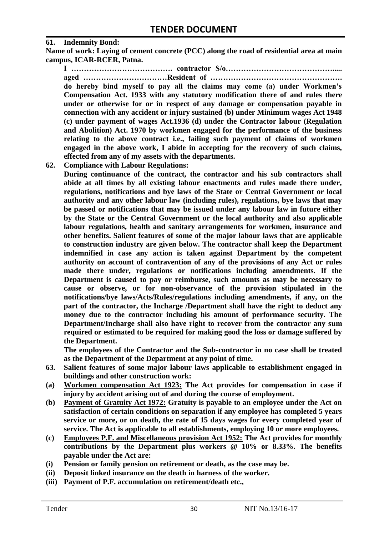#### **61. Indemnity Bond:**

**Name of work: Laying of cement concrete (PCC) along the road of residential area at main campus, ICAR-RCER, Patna.**

**I …………………………………. contractor S/o……………………………………..... aged ……………………………Resident of ……………………………………………. do hereby bind myself to pay all the claims may come (a) under Workmen's Compensation Act. 1933 with any statutory modification there of and rules there under or otherwise for or in respect of any damage or compensation payable in connection with any accident or injury sustained (b) under Minimum wages Act 1948 (c) under payment of wages Act.1936 (d) under the Contractor labour (Regulation and Abolition) Act. 1970 by workmen engaged for the performance of the business relating to the above contract i.e., failing such payment of claims of workmen engaged in the above work, I abide in accepting for the recovery of such claims, effected from any of my assets with the departments.**

**62. Compliance with Labour Regulations:**

**During continuance of the contract, the contractor and his sub contractors shall abide at all times by all existing labour enactments and rules made there under, regulations, notifications and bye laws of the State or Central Government or local authority and any other labour law (including rules), regulations, bye laws that may be passed or notifications that may be issued under any labour law in future either by the State or the Central Government or the local authority and also applicable labour regulations, health and sanitary arrangements for workmen, insurance and other benefits. Salient features of some of the major labour laws that are applicable to construction industry are given below. The contractor shall keep the Department indemnified in case any action is taken against Department by the competent authority on account of contravention of any of the provisions of any Act or rules made there under, regulations or notifications including amendments. If the Department is caused to pay or reimburse, such amounts as may be necessary to cause or observe, or for non-observance of the provision stipulated in the notifications/bye laws/Acts/Rules/regulations including amendments, if any, on the part of the contractor, the Incharge /Department shall have the right to deduct any money due to the contractor including his amount of performance security. The Department/Incharge shall also have right to recover from the contractor any sum required or estimated to be required for making good the loss or damage suffered by the Department.**

**The employees of the Contractor and the Sub-contractor in no case shall be treated as the Department of the Department at any point of time.**

- **63. Salient features of some major labour laws applicable to establishment engaged in buildings and other construction work:**
- **(a) Workmen compensation Act 1923: The Act provides for compensation in case if injury by accident arising out of and during the course of employment.**
- **(b) Payment of Gratuity Act 1972: Gratuity is payable to an employee under the Act on satisfaction of certain conditions on separation if any employee has completed 5 years service or more, or on death, the rate of 15 days wages for every completed year of service. The Act is applicable to all establishments, employing 10 or more employees.**
- **(c) Employees P.F. and Miscellaneous provision Act 1952: The Act provides for monthly contributions by the Department plus workers @ 10% or 8.33%. The benefits payable under the Act are:**
- **(i) Pension or family pension on retirement or death, as the case may be.**
- **(ii) Deposit linked insurance on the death in harness of the worker.**
- **(iii) Payment of P.F. accumulation on retirement/death etc.,**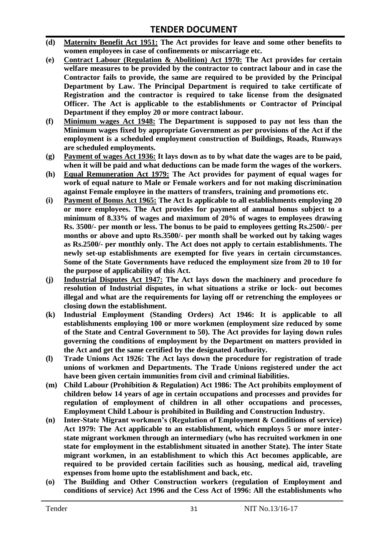- **(d) Maternity Benefit Act 1951: The Act provides for leave and some other benefits to women employees in case of confinements or miscarriage etc.**
- **(e) Contract Labour (Regulation & Abolition) Act 1970: The Act provides for certain**  welfare measures to be provided by the contractor to contract labour and in case the **Contractor fails to provide, the same are required to be provided by the Principal Department by Law. The Principal Department is required to take certificate of Registration and the contractor is required to take license from the designated Officer. The Act is applicable to the establishments or Contractor of Principal Department if they employ 20 or more contract labour.**
- **(f) Minimum wages Act 1948: The Department is supposed to pay not less than the Minimum wages fixed by appropriate Government as per provisions of the Act if the employment is a scheduled employment construction of Buildings, Roads, Runways are scheduled employments.**
- **(g) Payment of wages Act 1936: It lays down as to by what date the wages are to be paid, when it will be paid and what deductions can be made form the wages of the workers.**
- **(h) Equal Remuneration Act 1979: The Act provides for payment of equal wages for work of equal nature to Male or Female workers and for not making discrimination against Female employee in the matters of transfers, training and promotions etc.**
- **(i) Payment of Bonus Act 1965: The Act Is applicable to all establishments employing 20 or more employees. The Act provides for payment of annual bonus subject to a minimum of 8.33% of wages and maximum of 20% of wages to employees drawing Rs. 3500/- per month or less. The bonus to be paid to employees getting Rs.2500/- per months or above and upto Rs.3500/- per month shall be worked out by taking wages as Rs.2500/- per monthly only. The Act does not apply to certain establishments. The newly set-up establishments are exempted for five years in certain circumstances. Some of the State Governments have reduced the employment size from 20 to 10 for the purpose of applicability of this Act.**
- **(j) Industrial Disputes Act 1947: The Act lays down the machinery and procedure fo resolution of Industrial disputes, in what situations a strike or lock- out becomes illegal and what are the requirements for laying off or retrenching the employees or closing down the establishment.**
- **(k) Industrial Employment (Standing Orders) Act 1946: It is applicable to all establishments employing 100 or more workmen (employment size reduced by some of the State and Central Government to 50). The Act provides for laying down rules governing the conditions of employment by the Department on matters provided in the Act and get the same certified by the designated Authority.**
- **(l) Trade Unions Act 1926: The Act lays down the procedure for registration of trade unions of workmen and Departments. The Trade Unions registered under the act have been given certain immunities from civil and criminal liabilities.**
- **(m) Child Labour (Prohibition & Regulation) Act 1986: The Act prohibits employment of children below 14 years of age in certain occupations and processes and provides for regulation of employment of children in all other occupations and processes, Employment Child Labour is prohibited in Building and Construction Industry.**
- **(n) Inter-State Migrant workmen's (Regulation of Employment & Conditions of service) Act 1979: The Act applicable to an establishment, which employs 5 or more interstate migrant workmen through an intermediary (who has recruited workmen in one state for employment in the establishment situated in another State). The inter State migrant workmen, in an establishment to which this Act becomes applicable, are required to be provided certain facilities such as housing, medical aid, traveling expenses from home upto the establishment and back, etc.**
- **(o) The Building and Other Construction workers (regulation of Employment and conditions of service) Act 1996 and the Cess Act of 1996: All the establishments who**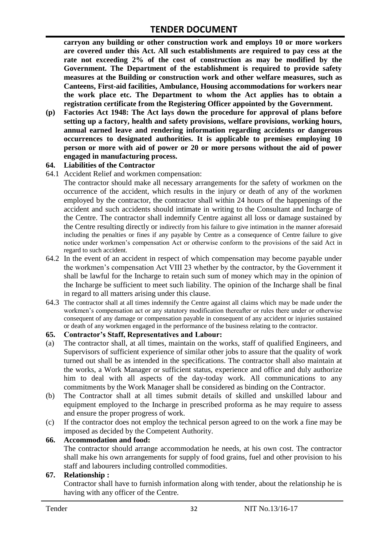**carryon any building or other construction work and employs 10 or more workers are covered under this Act. All such establishments are required to pay cess at the rate not exceeding 2% of the cost of construction as may be modified by the Government. The Department of the establishment is required to provide safety measures at the Building or construction work and other welfare measures, such as Canteens, First-aid facilities, Ambulance, Housing accommodations for workers near the work place etc. The Department to whom the Act applies has to obtain a registration certificate from the Registering Officer appointed by the Government.**

**(p) Factories Act 1948: The Act lays down the procedure for approval of plans before setting up a factory, health and safety provisions, welfare provisions, working hours, annual earned leave and rendering information regarding accidents or dangerous occurrences to designated authorities. It is applicable to premises employing 10 person or more with aid of power or 20 or more persons without the aid of power engaged in manufacturing process.**

#### **64. Liabilities of the Contractor**

64.1 Accident Relief and workmen compensation:

The contractor should make all necessary arrangements for the safety of workmen on the occurrence of the accident, which results in the injury or death of any of the workmen employed by the contractor, the contractor shall within 24 hours of the happenings of the accident and such accidents should intimate in writing to the Consultant and Incharge of the Centre. The contractor shall indemnify Centre against all loss or damage sustained by the Centre resulting directly or indirectly from his failure to give intimation in the manner aforesaid including the penalties or fines if any payable by Centre as a consequence of Centre failure to give notice under workmen"s compensation Act or otherwise conform to the provisions of the said Act in regard to such accident.

- 64.2 In the event of an accident in respect of which compensation may become payable under the workmen"s compensation Act VIII 23 whether by the contractor, by the Government it shall be lawful for the Incharge to retain such sum of money which may in the opinion of the Incharge be sufficient to meet such liability. The opinion of the Incharge shall be final in regard to all matters arising under this clause.
- 64.3 The contractor shall at all times indemnify the Centre against all claims which may be made under the workmen"s compensation act or any statutory modification thereafter or rules there under or otherwise consequent of any damage or compensation payable in consequent of any accident or injuries sustained or death of any workmen engaged in the performance of the business relating to the contractor.

#### **65. Contractor's Staff, Representatives and Labour:**

- (a) The contractor shall, at all times, maintain on the works, staff of qualified Engineers, and Supervisors of sufficient experience of similar other jobs to assure that the quality of work turned out shall be as intended in the specifications. The contractor shall also maintain at the works, a Work Manager or sufficient status, experience and office and duly authorize him to deal with all aspects of the day-today work. All communications to any commitments by the Work Manager shall be considered as binding on the Contractor.
- (b) The Contractor shall at all times submit details of skilled and unskilled labour and equipment employed to the Incharge in prescribed proforma as he may require to assess and ensure the proper progress of work.
- (c) If the contractor does not employ the technical person agreed to on the work a fine may be imposed as decided by the Competent Authority.

#### **66. Accommodation and food:**

The contractor should arrange accommodation he needs, at his own cost. The contractor shall make his own arrangements for supply of food grains, fuel and other provision to his staff and labourers including controlled commodities.

#### **67. Relationship :**

Contractor shall have to furnish information along with tender, about the relationship he is having with any officer of the Centre.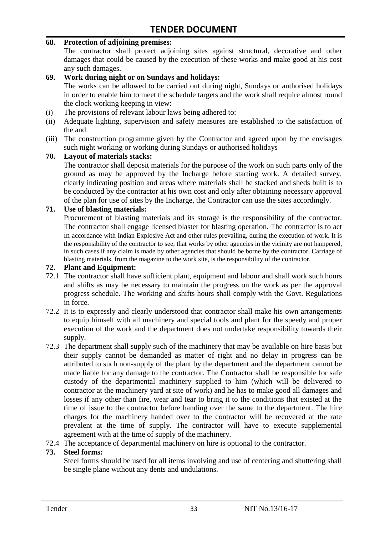#### **68. Protection of adjoining premises:**

The contractor shall protect adjoining sites against structural, decorative and other damages that could be caused by the execution of these works and make good at his cost any such damages.

#### **69. Work during night or on Sundays and holidays:**

The works can be allowed to be carried out during night, Sundays or authorised holidays in order to enable him to meet the schedule targets and the work shall require almost round the clock working keeping in view:

- (i) The provisions of relevant labour laws being adhered to:
- (ii) Adequate lighting, supervision and safety measures are established to the satisfaction of the and
- (iii) The construction programme given by the Contractor and agreed upon by the envisages such night working or working during Sundays or authorised holidays

#### **70. Layout of materials stacks:**

The contractor shall deposit materials for the purpose of the work on such parts only of the ground as may be approved by the Incharge before starting work. A detailed survey, clearly indicating position and areas where materials shall be stacked and sheds built is to be conducted by the contractor at his own cost and only after obtaining necessary approval of the plan for use of sites by the Incharge, the Contractor can use the sites accordingly.

#### **71. Use of blasting materials:**

Procurement of blasting materials and its storage is the responsibility of the contractor. The contractor shall engage licensed blaster for blasting operation. The contractor is to act in accordance with Indian Explosive Act and other rules prevailing, during the execution of work. It is the responsibility of the contractor to see, that works by other agencies in the vicinity are not hampered, in such cases if any claim is made by other agencies that should be borne by the contractor. Carriage of blasting materials, from the magazine to the work site, is the responsibility of the contractor.

#### **72. Plant and Equipment:**

- 72.1 The contractor shall have sufficient plant, equipment and labour and shall work such hours and shifts as may be necessary to maintain the progress on the work as per the approval progress schedule. The working and shifts hours shall comply with the Govt. Regulations in force.
- 72.2 It is to expressly and clearly understood that contractor shall make his own arrangements to equip himself with all machinery and special tools and plant for the speedy and proper execution of the work and the department does not undertake responsibility towards their supply.
- 72.3 The department shall supply such of the machinery that may be available on hire basis but their supply cannot be demanded as matter of right and no delay in progress can be attributed to such non-supply of the plant by the department and the department cannot be made liable for any damage to the contractor. The Contractor shall be responsible for safe custody of the departmental machinery supplied to him (which will be delivered to contractor at the machinery yard at site of work) and he has to make good all damages and losses if any other than fire, wear and tear to bring it to the conditions that existed at the time of issue to the contractor before handing over the same to the department. The hire charges for the machinery handed over to the contractor will be recovered at the rate prevalent at the time of supply. The contractor will have to execute supplemental agreement with at the time of supply of the machinery.
- 72.4 The acceptance of departmental machinery on hire is optional to the contractor.

#### **73. Steel forms:**

Steel forms should be used for all items involving and use of centering and shuttering shall be single plane without any dents and undulations.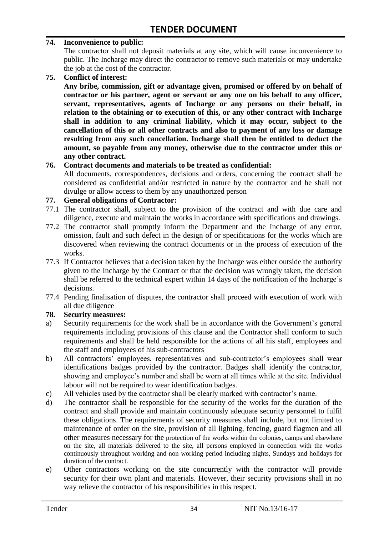#### **74. Inconvenience to public:**

The contractor shall not deposit materials at any site, which will cause inconvenience to public. The Incharge may direct the contractor to remove such materials or may undertake the job at the cost of the contractor.

**75. Conflict of interest:**

**Any bribe, commission, gift or advantage given, promised or offered by on behalf of contractor or his partner, agent or servant or any one on his behalf to any officer, servant, representatives, agents of Incharge or any persons on their behalf, in relation to the obtaining or to execution of this, or any other contract with Incharge shall in addition to any criminal liability, which it may occur, subject to the cancellation of this or all other contracts and also to payment of any loss or damage resulting from any such cancellation. Incharge shall then be entitled to deduct the amount, so payable from any money, otherwise due to the contractor under this or any other contract.**

#### **76. Contract documents and materials to be treated as confidential:**

All documents, correspondences, decisions and orders, concerning the contract shall be considered as confidential and/or restricted in nature by the contractor and he shall not divulge or allow access to them by any unauthorized person

#### **77. General obligations of Contractor:**

- 77.1 The contractor shall, subject to the provision of the contract and with due care and diligence, execute and maintain the works in accordance with specifications and drawings.
- 77.2 The contractor shall promptly inform the Department and the Incharge of any error, omission, fault and such defect in the design of or specifications for the works which are discovered when reviewing the contract documents or in the process of execution of the works.
- 77.3 If Contractor believes that a decision taken by the Incharge was either outside the authority given to the Incharge by the Contract or that the decision was wrongly taken, the decision shall be referred to the technical expert within 14 days of the notification of the Incharge"s decisions.
- 77.4 Pending finalisation of disputes, the contractor shall proceed with execution of work with all due diligence

#### **78. Security measures:**

- a) Security requirements for the work shall be in accordance with the Government's general requirements including provisions of this clause and the Contractor shall conform to such requirements and shall be held responsible for the actions of all his staff, employees and the staff and employees of his sub-contractors
- b) All contractors' employees, representatives and sub-contractor's employees shall wear identifications badges provided by the contractor. Badges shall identify the contractor, showing and employee's number and shall be worn at all times while at the site. Individual labour will not be required to wear identification badges.
- c) All vehicles used by the contractor shall be clearly marked with contractor"s name.
- d) The contractor shall be responsible for the security of the works for the duration of the contract and shall provide and maintain continuously adequate security personnel to fulfil these obligations. The requirements of security measures shall include, but not limited to maintenance of order on the site, provision of all lighting, fencing, guard flagmen and all other measures necessary for the protection of the works within the colonies, camps and elsewhere on the site, all materials delivered to the site, all persons employed in connection with the works continuously throughout working and non working period including nights, Sundays and holidays for duration of the contract.
- e) Other contractors working on the site concurrently with the contractor will provide security for their own plant and materials. However, their security provisions shall in no way relieve the contractor of his responsibilities in this respect.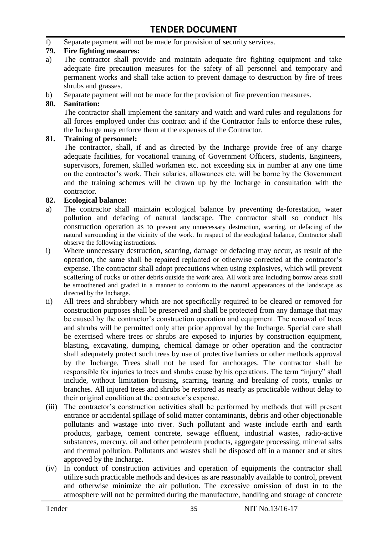f) Separate payment will not be made for provision of security services.

#### **79. Fire fighting measures:**

- a) The contractor shall provide and maintain adequate fire fighting equipment and take adequate fire precaution measures for the safety of all personnel and temporary and permanent works and shall take action to prevent damage to destruction by fire of trees shrubs and grasses.
- b) Separate payment will not be made for the provision of fire prevention measures.

#### **80. Sanitation:**

The contractor shall implement the sanitary and watch and ward rules and regulations for all forces employed under this contract and if the Contractor fails to enforce these rules, the Incharge may enforce them at the expenses of the Contractor.

#### **81. Training of personnel:**

The contractor, shall, if and as directed by the Incharge provide free of any charge adequate facilities, for vocational training of Government Officers, students, Engineers, supervisors, foremen, skilled workmen etc. not exceeding six in number at any one time on the contractor"s work. Their salaries, allowances etc. will be borne by the Government and the training schemes will be drawn up by the Incharge in consultation with the contractor.

#### **82. Ecological balance:**

- a) The contractor shall maintain ecological balance by preventing de-forestation, water pollution and defacing of natural landscape. The contractor shall so conduct his construction operation as to prevent any unnecessary destruction, scarring, or defacing of the natural surrounding in the vicinity of the work. In respect of the ecological balance, Contractor shall observe the following instructions.
- i) Where unnecessary destruction, scarring, damage or defacing may occur, as result of the operation, the same shall be repaired replanted or otherwise corrected at the contractor"s expense. The contractor shall adopt precautions when using explosives, which will prevent scattering of rocks or other debris outside the work area. All work area including borrow areas shall be smoothened and graded in a manner to conform to the natural appearances of the landscape as directed by the Incharge.
- ii) All trees and shrubbery which are not specifically required to be cleared or removed for construction purposes shall be preserved and shall be protected from any damage that may be caused by the contractor's construction operation and equipment. The removal of trees and shrubs will be permitted only after prior approval by the Incharge. Special care shall be exercised where trees or shrubs are exposed to injuries by construction equipment, blasting, excavating, dumping, chemical damage or other operation and the contractor shall adequately protect such trees by use of protective barriers or other methods approval by the Incharge. Trees shall not be used for anchorages. The contractor shall be responsible for injuries to trees and shrubs cause by his operations. The term "injury" shall include, without limitation bruising, scarring, tearing and breaking of roots, trunks or branches. All injured trees and shrubs be restored as nearly as practicable without delay to their original condition at the contractor"s expense.
- (iii) The contractor's construction activities shall be performed by methods that will present entrance or accidental spillage of solid matter contaminants, debris and other objectionable pollutants and wastage into river. Such pollutant and waste include earth and earth products, garbage, cement concrete, sewage effluent, industrial wastes, radio-active substances, mercury, oil and other petroleum products, aggregate processing, mineral salts and thermal pollution. Pollutants and wastes shall be disposed off in a manner and at sites approved by the Incharge.
- (iv) In conduct of construction activities and operation of equipments the contractor shall utilize such practicable methods and devices as are reasonably available to control, prevent and otherwise minimize the air pollution. The excessive omission of dust in to the atmosphere will not be permitted during the manufacture, handling and storage of concrete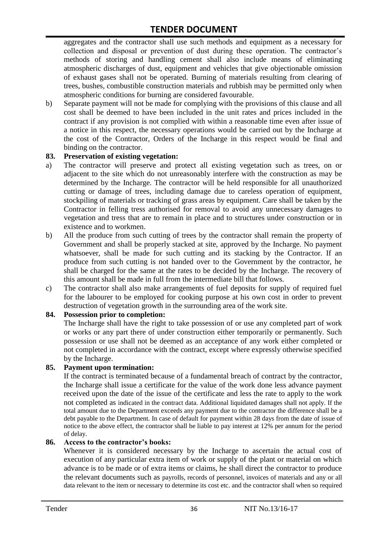aggregates and the contractor shall use such methods and equipment as a necessary for collection and disposal or prevention of dust during these operation. The contractor's methods of storing and handling cement shall also include means of eliminating atmospheric discharges of dust, equipment and vehicles that give objectionable omission of exhaust gases shall not be operated. Burning of materials resulting from clearing of trees, bushes, combustible construction materials and rubbish may be permitted only when atmospheric conditions for burning are considered favourable.

b) Separate payment will not be made for complying with the provisions of this clause and all cost shall be deemed to have been included in the unit rates and prices included in the contract if any provision is not complied with within a reasonable time even after issue of a notice in this respect, the necessary operations would be carried out by the Incharge at the cost of the Contractor, Orders of the Incharge in this respect would be final and binding on the contractor.

#### **83. Preservation of existing vegetation:**

- a) The contractor will preserve and protect all existing vegetation such as trees, on or adjacent to the site which do not unreasonably interfere with the construction as may be determined by the Incharge. The contractor will be held responsible for all unauthorized cutting or damage of trees, including damage due to careless operation of equipment, stockpiling of materials or tracking of grass areas by equipment. Care shall be taken by the Contractor in felling tress authorised for removal to avoid any unnecessary damages to vegetation and tress that are to remain in place and to structures under construction or in existence and to workmen.
- b) All the produce from such cutting of trees by the contractor shall remain the property of Government and shall be properly stacked at site, approved by the Incharge. No payment whatsoever, shall be made for such cutting and its stacking by the Contractor. If an produce from such cutting is not handed over to the Government by the contractor, he shall be charged for the same at the rates to be decided by the Incharge. The recovery of this amount shall be made in full from the intermediate bill that follows.
- c) The contractor shall also make arrangements of fuel deposits for supply of required fuel for the labourer to be employed for cooking purpose at his own cost in order to prevent destruction of vegetation growth in the surrounding area of the work site.

#### **84. Possession prior to completion:**

The Incharge shall have the right to take possession of or use any completed part of work or works or any part there of under construction either temporarily or permanently. Such possession or use shall not be deemed as an acceptance of any work either completed or not completed in accordance with the contract, except where expressly otherwise specified by the Incharge.

#### **85. Payment upon termination:**

If the contract is terminated because of a fundamental breach of contract by the contractor, the Incharge shall issue a certificate for the value of the work done less advance payment received upon the date of the issue of the certificate and less the rate to apply to the work not completed as indicated in the contract data. Additional liquidated damages shall not apply. If the total amount due to the Department exceeds any payment due to the contractor the difference shall be a debt payable to the Department. In case of default for payment within 28 days from the date of issue of notice to the above effect, the contractor shall be liable to pay interest at 12% per annum for the period of delay.

#### **86. Access to the contractor's books:**

Whenever it is considered necessary by the Incharge to ascertain the actual cost of execution of any particular extra item of work or supply of the plant or material on which advance is to be made or of extra items or claims, he shall direct the contractor to produce the relevant documents such as payrolls, records of personnel, invoices of materials and any or all data relevant to the item or necessary to determine its cost etc. and the contractor shall when so required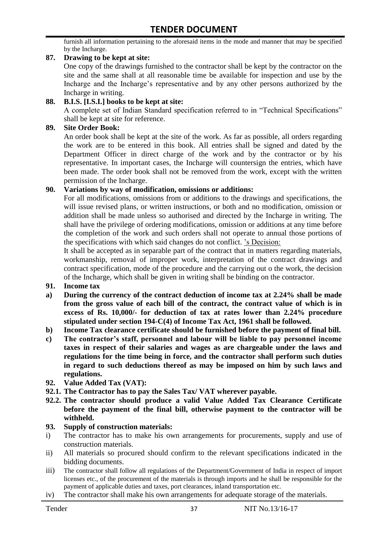furnish all information pertaining to the aforesaid items in the mode and manner that may be specified by the Incharge.

#### **87. Drawing to be kept at site:**

One copy of the drawings furnished to the contractor shall be kept by the contractor on the site and the same shall at all reasonable time be available for inspection and use by the Incharge and the Incharge"s representative and by any other persons authorized by the Incharge in writing.

#### **88. B.I.S. [I.S.I.] books to be kept at site:**

A complete set of Indian Standard specification referred to in "Technical Specifications" shall be kept at site for reference.

#### **89. Site Order Book:**

An order book shall be kept at the site of the work. As far as possible, all orders regarding the work are to be entered in this book. All entries shall be signed and dated by the Department Officer in direct charge of the work and by the contractor or by his representative. In important cases, the Incharge will countersign the entries, which have been made. The order book shall not be removed from the work, except with the written permission of the Incharge.

#### **90. Variations by way of modification, omissions or additions:**

For all modifications, omissions from or additions to the drawings and specifications, the will issue revised plans, or written instructions, or both and no modification, omission or addition shall be made unless so authorised and directed by the Incharge in writing. The shall have the privilege of ordering modifications, omission or additions at any time before the completion of the work and such orders shall not operate to annual those portions of the specifications with which said changes do not conflict. "s Decision:

It shall be accepted as in separable part of the contract that in matters regarding materials, workmanship, removal of improper work, interpretation of the contract drawings and contract specification, mode of the procedure and the carrying out o the work, the decision of the Incharge, which shall be given in writing shall be binding on the contractor.

- **91. Income tax**
- **a) During the currency of the contract deduction of income tax at 2.24% shall be made from the gross value of each bill of the contract, the contract value of which is in excess of Rs. 10,000/- for deduction of tax at rates lower than 2.24% procedure stipulated under section 194-C(4) of Income Tax Act, 1961 shall be followed.**
- **b) Income Tax clearance certificate should be furnished before the payment of final bill.**
- **c) The contractor's staff, personnel and labour will be liable to pay personnel income taxes in respect of their salaries and wages as are chargeable under the laws and regulations for the time being in force, and the contractor shall perform such duties in regard to such deductions thereof as may be imposed on him by such laws and regulations.**
- **92. Value Added Tax (VAT):**
- **92.1. The Contractor has to pay the Sales Tax/ VAT wherever payable.**
- **92.2. The contractor should produce a valid Value Added Tax Clearance Certificate before the payment of the final bill, otherwise payment to the contractor will be withheld.**

#### **93. Supply of construction materials:**

- i) The contractor has to make his own arrangements for procurements, supply and use of construction materials.
- ii) All materials so procured should confirm to the relevant specifications indicated in the bidding documents.
- iii) The contractor shall follow all regulations of the Department/Government of India in respect of import licenses etc., of the procurement of the materials is through imports and he shall be responsible for the payment of applicable duties and taxes, port clearances, inland transportation etc.
- iv) The contractor shall make his own arrangements for adequate storage of the materials.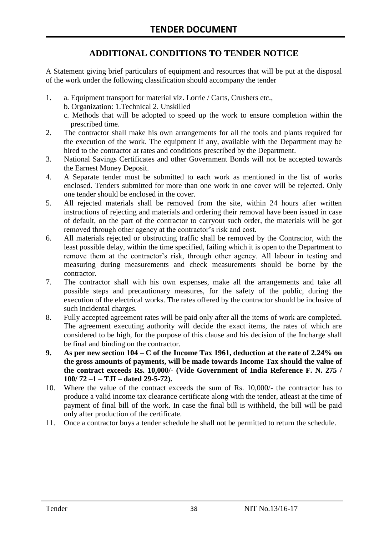# **ADDITIONAL CONDITIONS TO TENDER NOTICE**

A Statement giving brief particulars of equipment and resources that will be put at the disposal of the work under the following classification should accompany the tender

- 1. a. Equipment transport for material viz. Lorrie / Carts, Crushers etc.,
	- b. Organization: 1.Technical 2. Unskilled
	- c. Methods that will be adopted to speed up the work to ensure completion within the prescribed time.
- 2. The contractor shall make his own arrangements for all the tools and plants required for the execution of the work. The equipment if any, available with the Department may be hired to the contractor at rates and conditions prescribed by the Department.
- 3. National Savings Certificates and other Government Bonds will not be accepted towards the Earnest Money Deposit.
- 4. A Separate tender must be submitted to each work as mentioned in the list of works enclosed. Tenders submitted for more than one work in one cover will be rejected. Only one tender should be enclosed in the cover.
- 5. All rejected materials shall be removed from the site, within 24 hours after written instructions of rejecting and materials and ordering their removal have been issued in case of default, on the part of the contractor to carryout such order, the materials will be got removed through other agency at the contractor's risk and cost.
- 6. All materials rejected or obstructing traffic shall be removed by the Contractor, with the least possible delay, within the time specified, failing which it is open to the Department to remove them at the contractor's risk, through other agency. All labour in testing and measuring during measurements and check measurements should be borne by the contractor.
- 7. The contractor shall with his own expenses, make all the arrangements and take all possible steps and precautionary measures, for the safety of the public, during the execution of the electrical works. The rates offered by the contractor should be inclusive of such incidental charges.
- 8. Fully accepted agreement rates will be paid only after all the items of work are completed. The agreement executing authority will decide the exact items, the rates of which are considered to be high, for the purpose of this clause and his decision of the Incharge shall be final and binding on the contractor.
- **9. As per new section 104 – C of the Income Tax 1961, deduction at the rate of 2.24% on the gross amounts of payments, will be made towards Income Tax should the value of the contract exceeds Rs. 10,000/- (Vide Government of India Reference F. N. 275 / 100/ 72 –1 – TJI – dated 29-5-72).**
- 10. Where the value of the contract exceeds the sum of Rs. 10,000/- the contractor has to produce a valid income tax clearance certificate along with the tender, atleast at the time of payment of final bill of the work. In case the final bill is withheld, the bill will be paid only after production of the certificate.
- 11. Once a contractor buys a tender schedule he shall not be permitted to return the schedule.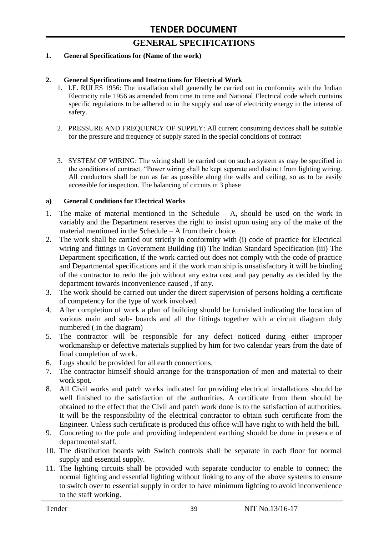# **GENERAL SPECIFICATIONS**

#### **1. General Specifications for (Name of the work)**

#### **2. General Specifications and Instructions for Electrical Work**

- 1. I.E. RULES 1956: The installation shall generally be carried out in conformity with the Indian Electricity rule 1956 as amended from time to time and National Electrical code which contains specific regulations to be adhered to in the supply and use of electricity energy in the interest of safety.
- 2. PRESSURE AND FREQUENCY OF SUPPLY: All current consuming devices shall be suitable for the pressure and frequency of supply stated in the special conditions of contract
- 3. SYSTEM OF WIRING: The wiring shall be carried out on such a system as may be specified in the conditions of contract. "Power wiring shall be kept separate and distinct from lighting wiring. All conductors shall be run as far as possible along the walls and ceiling, so as to be easily accessible for inspection. The balancing of circuits in 3 phase

#### **a) General Conditions for Electrical Works**

- 1. The make of material mentioned in the Schedule A, should be used on the work in variably and the Department reserves the right to insist upon using any of the make of the material mentioned in the Schedule – A from their choice.
- 2. The work shall be carried out strictly in conformity with (i) code of practice for Electrical wiring and fittings in Government Building (ii) The Indian Standard Specification (iii) The Department specification, if the work carried out does not comply with the code of practice and Departmental specifications and if the work man ship is unsatisfactory it will be binding of the contractor to redo the job without any extra cost and pay penalty as decided by the department towards inconvenience caused , if any.
- 3. The work should be carried out under the direct supervision of persons holding a certificate of competency for the type of work involved.
- 4. After completion of work a plan of building should be furnished indicating the location of various main and sub- boards and all the fittings together with a circuit diagram duly numbered ( in the diagram)
- 5. The contractor will be responsible for any defect noticed during either improper workmanship or defective materials supplied by him for two calendar years from the date of final completion of work.
- 6. Lugs should be provided for all earth connections.
- 7. The contractor himself should arrange for the transportation of men and material to their work spot.
- 8. All Civil works and patch works indicated for providing electrical installations should be well finished to the satisfaction of the authorities. A certificate from them should be obtained to the effect that the Civil and patch work done is to the satisfaction of authorities. It will be the responsibility of the electrical contractor to obtain such certificate from the Engineer. Unless such certificate is produced this office will have right to with held the bill.
- 9. Concreting to the pole and providing independent earthing should be done in presence of departmental staff.
- 10. The distribution boards with Switch controls shall be separate in each floor for normal supply and essential supply.
- 11. The lighting circuits shall be provided with separate conductor to enable to connect the normal lighting and essential lighting without linking to any of the above systems to ensure to switch over to essential supply in order to have minimum lighting to avoid inconvenience to the staff working.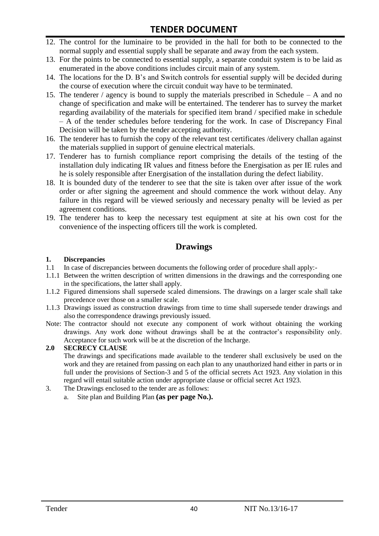- 12. The control for the luminaire to be provided in the hall for both to be connected to the normal supply and essential supply shall be separate and away from the each system.
- 13. For the points to be connected to essential supply, a separate conduit system is to be laid as enumerated in the above conditions includes circuit main of any system.
- 14. The locations for the D. B"s and Switch controls for essential supply will be decided during the course of execution where the circuit conduit way have to be terminated.
- 15. The tenderer / agency is bound to supply the materials prescribed in Schedule A and no change of specification and make will be entertained. The tenderer has to survey the market regarding availability of the materials for specified item brand / specified make in schedule – A of the tender schedules before tendering for the work. In case of Discrepancy Final Decision will be taken by the tender accepting authority.
- 16. The tenderer has to furnish the copy of the relevant test certificates /delivery challan against the materials supplied in support of genuine electrical materials.
- 17. Tenderer has to furnish compliance report comprising the details of the testing of the installation duly indicating IR values and fitness before the Energisation as per IE rules and he is solely responsible after Energisation of the installation during the defect liability.
- 18. It is bounded duty of the tenderer to see that the site is taken over after issue of the work order or after signing the agreement and should commence the work without delay. Any failure in this regard will be viewed seriously and necessary penalty will be levied as per agreement conditions.
- 19. The tenderer has to keep the necessary test equipment at site at his own cost for the convenience of the inspecting officers till the work is completed.

#### **Drawings**

#### **1. Discrepancies**

- 1.1 In case of discrepancies between documents the following order of procedure shall apply:-
- 1.1.1 Between the written description of written dimensions in the drawings and the corresponding one in the specifications, the latter shall apply.
- 1.1.2 Figured dimensions shall supersede scaled dimensions. The drawings on a larger scale shall take precedence over those on a smaller scale.
- 1.1.3 Drawings issued as construction drawings from time to time shall supersede tender drawings and also the correspondence drawings previously issued.
- Note: The contractor should not execute any component of work without obtaining the working drawings. Any work done without drawings shall be at the contractor"s responsibility only. Acceptance for such work will be at the discretion of the Incharge.

#### **2.0 SECRECY CLAUSE**

The drawings and specifications made available to the tenderer shall exclusively be used on the work and they are retained from passing on each plan to any unauthorized hand either in parts or in full under the provisions of Section-3 and 5 of the official secrets Act 1923. Any violation in this regard will entail suitable action under appropriate clause or official secret Act 1923.

- 3. The Drawings enclosed to the tender are as follows:
	- a. Site plan and Building Plan **(as per page No.).**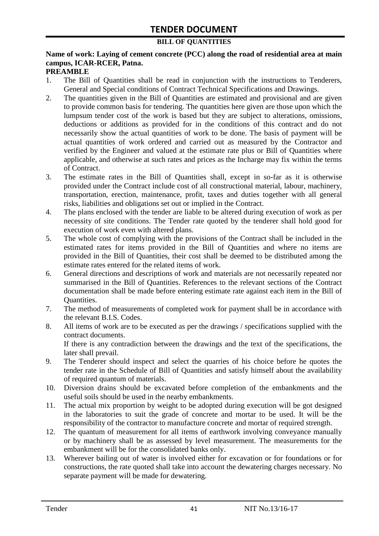#### **BILL OF QUANTITIES**

# **Name of work: Laying of cement concrete (PCC) along the road of residential area at main campus, ICAR-RCER, Patna.**

#### **PREAMBLE**

- 1. The Bill of Quantities shall be read in conjunction with the instructions to Tenderers, General and Special conditions of Contract Technical Specifications and Drawings.
- 2. The quantities given in the Bill of Quantities are estimated and provisional and are given to provide common basis for tendering. The quantities here given are those upon which the lumpsum tender cost of the work is based but they are subject to alterations, omissions, deductions or additions as provided for in the conditions of this contract and do not necessarily show the actual quantities of work to be done. The basis of payment will be actual quantities of work ordered and carried out as measured by the Contractor and verified by the Engineer and valued at the estimate rate plus or Bill of Quantities where applicable, and otherwise at such rates and prices as the Incharge may fix within the terms of Contract.
- 3. The estimate rates in the Bill of Quantities shall, except in so-far as it is otherwise provided under the Contract include cost of all constructional material, labour, machinery, transportation, erection, maintenance, profit, taxes and duties together with all general risks, liabilities and obligations set out or implied in the Contract.
- 4. The plans enclosed with the tender are liable to be altered during execution of work as per necessity of site conditions. The Tender rate quoted by the tenderer shall hold good for execution of work even with altered plans.
- 5. The whole cost of complying with the provisions of the Contract shall be included in the estimated rates for items provided in the Bill of Quantities and where no items are provided in the Bill of Quantities, their cost shall be deemed to be distributed among the estimate rates entered for the related items of work.
- 6. General directions and descriptions of work and materials are not necessarily repeated nor summarised in the Bill of Quantities. References to the relevant sections of the Contract documentation shall be made before entering estimate rate against each item in the Bill of Quantities.
- 7. The method of measurements of completed work for payment shall be in accordance with the relevant B.I.S. Codes.
- 8. All items of work are to be executed as per the drawings / specifications supplied with the contract documents. If there is any contradiction between the drawings and the text of the specifications, the

later shall prevail.

- 9. The Tenderer should inspect and select the quarries of his choice before he quotes the tender rate in the Schedule of Bill of Quantities and satisfy himself about the availability of required quantum of materials.
- 10. Diversion drains should be excavated before completion of the embankments and the useful soils should be used in the nearby embankments.
- 11. The actual mix proportion by weight to be adopted during execution will be got designed in the laboratories to suit the grade of concrete and mortar to be used. It will be the responsibility of the contractor to manufacture concrete and mortar of required strength.
- 12. The quantum of measurement for all items of earthwork involving conveyance manually or by machinery shall be as assessed by level measurement. The measurements for the embankment will be for the consolidated banks only.
- 13. Wherever bailing out of water is involved either for excavation or for foundations or for constructions, the rate quoted shall take into account the dewatering charges necessary. No separate payment will be made for dewatering.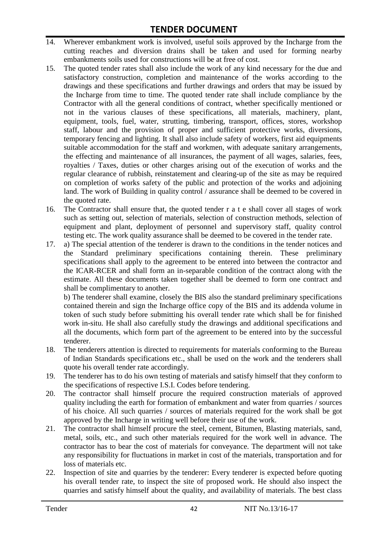- 14. Wherever embankment work is involved, useful soils approved by the Incharge from the cutting reaches and diversion drains shall be taken and used for forming nearby embankments soils used for constructions will be at free of cost.
- 15. The quoted tender rates shall also include the work of any kind necessary for the due and satisfactory construction, completion and maintenance of the works according to the drawings and these specifications and further drawings and orders that may be issued by the Incharge from time to time. The quoted tender rate shall include compliance by the Contractor with all the general conditions of contract, whether specifically mentioned or not in the various clauses of these specifications, all materials, machinery, plant, equipment, tools, fuel, water, strutting, timbering, transport, offices, stores, workshop staff, labour and the provision of proper and sufficient protective works, diversions, temporary fencing and lighting. It shall also include safety of workers, first aid equipments suitable accommodation for the staff and workmen, with adequate sanitary arrangements, the effecting and maintenance of all insurances, the payment of all wages, salaries, fees, royalties / Taxes, duties or other charges arising out of the execution of works and the regular clearance of rubbish, reinstatement and clearing-up of the site as may be required on completion of works safety of the public and protection of the works and adjoining land. The work of Building in quality control / assurance shall be deemed to be covered in the quoted rate.
- 16. The Contractor shall ensure that, the quoted tender r a t e shall cover all stages of work such as setting out, selection of materials, selection of construction methods, selection of equipment and plant, deployment of personnel and supervisory staff, quality control testing etc. The work quality assurance shall be deemed to be covered in the tender rate.
- 17. a) The special attention of the tenderer is drawn to the conditions in the tender notices and the Standard preliminary specifications containing therein. These preliminary specifications shall apply to the agreement to be entered into between the contractor and the ICAR-RCER and shall form an in-separable condition of the contract along with the estimate. All these documents taken together shall be deemed to form one contract and shall be complimentary to another.

b) The tenderer shall examine, closely the BIS also the standard preliminary specifications contained therein and sign the Incharge office copy of the BIS and its addenda volume in token of such study before submitting his overall tender rate which shall be for finished work in-situ. He shall also carefully study the drawings and additional specifications and all the documents, which form part of the agreement to be entered into by the successful tenderer.

- 18. The tenderers attention is directed to requirements for materials conforming to the Bureau of Indian Standards specifications etc., shall be used on the work and the tenderers shall quote his overall tender rate accordingly.
- 19. The tenderer has to do his own testing of materials and satisfy himself that they conform to the specifications of respective I.S.I. Codes before tendering.
- 20. The contractor shall himself procure the required construction materials of approved quality including the earth for formation of embankment and water from quarries / sources of his choice. All such quarries / sources of materials required for the work shall be got approved by the Incharge in writing well before their use of the work.
- 21. The contractor shall himself procure the steel, cement, Bitumen, Blasting materials, sand, metal, soils, etc., and such other materials required for the work well in advance. The contractor has to bear the cost of materials for conveyance. The department will not take any responsibility for fluctuations in market in cost of the materials, transportation and for loss of materials etc.
- 22. Inspection of site and quarries by the tenderer: Every tenderer is expected before quoting his overall tender rate, to inspect the site of proposed work. He should also inspect the quarries and satisfy himself about the quality, and availability of materials. The best class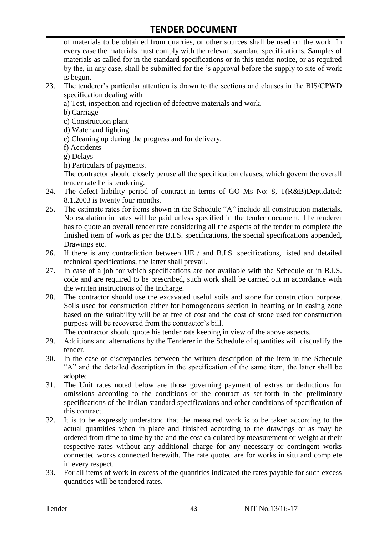of materials to be obtained from quarries, or other sources shall be used on the work. In every case the materials must comply with the relevant standard specifications. Samples of materials as called for in the standard specifications or in this tender notice, or as required by the, in any case, shall be submitted for the "s approval before the supply to site of work is begun.

- 23. The tenderer"s particular attention is drawn to the sections and clauses in the BIS/CPWD specification dealing with
	- a) Test, inspection and rejection of defective materials and work.
	- b) Carriage
	- c) Construction plant
	- d) Water and lighting
	- e) Cleaning up during the progress and for delivery.
	- f) Accidents
	- g) Delays
	- h) Particulars of payments.

The contractor should closely peruse all the specification clauses, which govern the overall tender rate he is tendering.

- 24. The defect liability period of contract in terms of GO Ms No: 8, T(R&B)Dept.dated: 8.1.2003 is twenty four months.
- 25. The estimate rates for items shown in the Schedule "A" include all construction materials. No escalation in rates will be paid unless specified in the tender document. The tenderer has to quote an overall tender rate considering all the aspects of the tender to complete the finished item of work as per the B.I.S. specifications, the special specifications appended, Drawings etc.
- 26. If there is any contradiction between UE / and B.I.S. specifications, listed and detailed technical specifications, the latter shall prevail.
- 27. In case of a job for which specifications are not available with the Schedule or in B.I.S. code and are required to be prescribed, such work shall be carried out in accordance with the written instructions of the Incharge.
- 28. The contractor should use the excavated useful soils and stone for construction purpose. Soils used for construction either for homogeneous section in hearting or in casing zone based on the suitability will be at free of cost and the cost of stone used for construction purpose will be recovered from the contractor's bill.

The contractor should quote his tender rate keeping in view of the above aspects.

- 29. Additions and alternations by the Tenderer in the Schedule of quantities will disqualify the tender.
- 30. In the case of discrepancies between the written description of the item in the Schedule "A" and the detailed description in the specification of the same item, the latter shall be adopted.
- 31. The Unit rates noted below are those governing payment of extras or deductions for omissions according to the conditions or the contract as set-forth in the preliminary specifications of the Indian standard specifications and other conditions of specification of this contract.
- 32. It is to be expressly understood that the measured work is to be taken according to the actual quantities when in place and finished according to the drawings or as may be ordered from time to time by the and the cost calculated by measurement or weight at their respective rates without any additional charge for any necessary or contingent works connected works connected herewith. The rate quoted are for works in situ and complete in every respect.
- 33. For all items of work in excess of the quantities indicated the rates payable for such excess quantities will be tendered rates.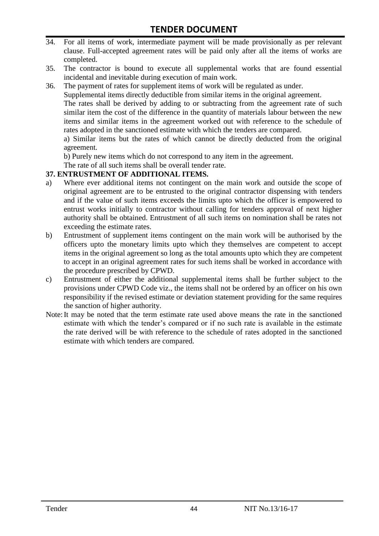- 34. For all items of work, intermediate payment will be made provisionally as per relevant clause. Full-accepted agreement rates will be paid only after all the items of works are completed.
- 35. The contractor is bound to execute all supplemental works that are found essential incidental and inevitable during execution of main work.
- 36. The payment of rates for supplement items of work will be regulated as under.

Supplemental items directly deductible from similar items in the original agreement.

The rates shall be derived by adding to or subtracting from the agreement rate of such similar item the cost of the difference in the quantity of materials labour between the new items and similar items in the agreement worked out with reference to the schedule of rates adopted in the sanctioned estimate with which the tenders are compared.

a) Similar items but the rates of which cannot be directly deducted from the original agreement.

b) Purely new items which do not correspond to any item in the agreement.

The rate of all such items shall be overall tender rate.

#### **37. ENTRUSTMENT OF ADDITIONAL ITEMS.**

- a) Where ever additional items not contingent on the main work and outside the scope of original agreement are to be entrusted to the original contractor dispensing with tenders and if the value of such items exceeds the limits upto which the officer is empowered to entrust works initially to contractor without calling for tenders approval of next higher authority shall be obtained. Entrustment of all such items on nomination shall be rates not exceeding the estimate rates.
- b) Entrustment of supplement items contingent on the main work will be authorised by the officers upto the monetary limits upto which they themselves are competent to accept items in the original agreement so long as the total amounts upto which they are competent to accept in an original agreement rates for such items shall be worked in accordance with the procedure prescribed by CPWD.
- c) Entrustment of either the additional supplemental items shall be further subject to the provisions under CPWD Code viz., the items shall not be ordered by an officer on his own responsibility if the revised estimate or deviation statement providing for the same requires the sanction of higher authority.
- Note:It may be noted that the term estimate rate used above means the rate in the sanctioned estimate with which the tender"s compared or if no such rate is available in the estimate the rate derived will be with reference to the schedule of rates adopted in the sanctioned estimate with which tenders are compared.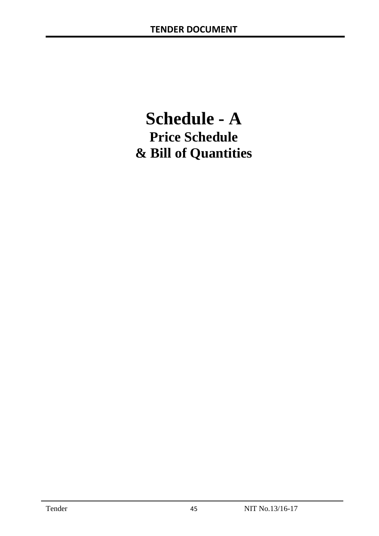# **Schedule - A Price Schedule & Bill of Quantities**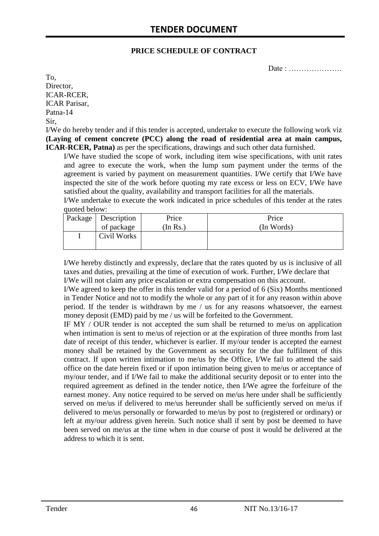#### **PRICE SCHEDULE OF CONTRACT**

Date : …………………

To, Director, ICAR-RCER, ICAR Parisar, Patna-14 Sir,

I/We do hereby tender and if this tender is accepted, undertake to execute the following work viz **(Laying of cement concrete (PCC) along the road of residential area at main campus, ICAR-RCER, Patna)** as per the specifications, drawings and such other data furnished.

I/We have studied the scope of work, including item wise specifications, with unit rates and agree to execute the work, when the lump sum payment under the terms of the agreement is varied by payment on measurement quantities. I/We certify that I/We have inspected the site of the work before quoting my rate excess or less on ECV, I/We have satisfied about the quality, availability and transport facilities for all the materials.

I/We undertake to execute the work indicated in price schedules of this tender at the rates quoted below:

| Package   Description | Price    | Price      |
|-----------------------|----------|------------|
| of package            | (In Rs.) | (In Words) |
| Civil Works           |          |            |
|                       |          |            |

I/We hereby distinctly and expressly, declare that the rates quoted by us is inclusive of all taxes and duties, prevailing at the time of execution of work. Further, I/We declare that I/We will not claim any price escalation or extra compensation on this account.

I/We agreed to keep the offer in this tender valid for a period of 6 (Six) Months mentioned in Tender Notice and not to modify the whole or any part of it for any reason within above period. If the tender is withdrawn by me / us for any reasons whatsoever, the earnest money deposit (EMD) paid by me / us will be forfeited to the Government.

IF MY / OUR tender is not accepted the sum shall be returned to me/us on application when intimation is sent to me/us of rejection or at the expiration of three months from last date of receipt of this tender, whichever is earlier. If my/our tender is accepted the earnest money shall be retained by the Government as security for the due fulfilment of this contract. If upon written intimation to me/us by the Office, I/We fail to attend the said office on the date herein fixed or if upon intimation being given to me/us or acceptance of my/our tender, and if I/We fail to make the additional security deposit or to enter into the required agreement as defined in the tender notice, then I/We agree the forfeiture of the earnest money. Any notice required to be served on me/us here under shall be sufficiently served on me/us if delivered to me/us hereunder shall be sufficiently served on me/us if delivered to me/us personally or forwarded to me/us by post to (registered or ordinary) or left at my/our address given herein. Such notice shall if sent by post be deemed to have been served on me/us at the time when in due course of post it would be delivered at the address to which it is sent.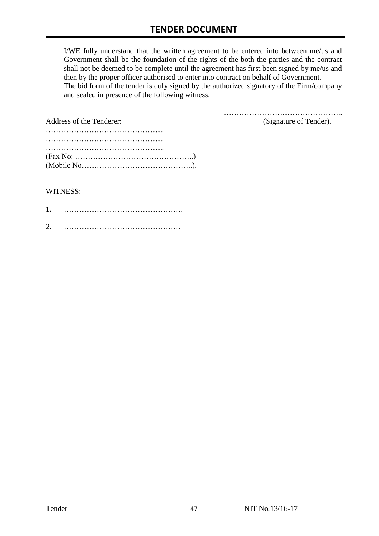I/WE fully understand that the written agreement to be entered into between me/us and Government shall be the foundation of the rights of the both the parties and the contract shall not be deemed to be complete until the agreement has first been signed by me/us and then by the proper officer authorised to enter into contract on behalf of Government. The bid form of the tender is duly signed by the authorized signatory of the Firm/company and sealed in presence of the following witness.

| Address of the Tenderer:                                                                  | (Signature of Tender). |
|-------------------------------------------------------------------------------------------|------------------------|
|                                                                                           |                        |
|                                                                                           |                        |
|                                                                                           |                        |
| $(Fax No: \dots \dots \dots \dots \dots \dots \dots \dots \dots \dots \dots \dots \dots)$ |                        |
|                                                                                           |                        |

#### WITNESS:

| ⌒ |  |
|---|--|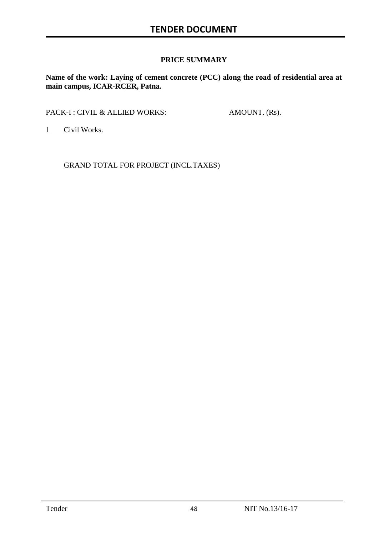#### **PRICE SUMMARY**

**Name of the work: Laying of cement concrete (PCC) along the road of residential area at main campus, ICAR-RCER, Patna.**

PACK-I : CIVIL & ALLIED WORKS: AMOUNT. (Rs).

1 Civil Works.

GRAND TOTAL FOR PROJECT (INCL.TAXES)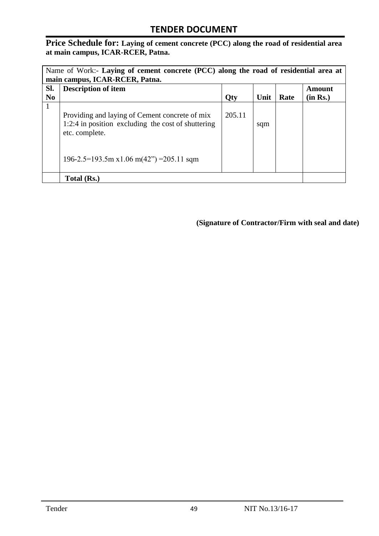**Price Schedule for: Laying of cement concrete (PCC) along the road of residential area at main campus, ICAR-RCER, Patna.**

| Name of Work:- Laying of cement concrete (PCC) along the road of residential area at<br>main campus, ICAR-RCER, Patna. |                                                                                                                        |        |     |  |                    |
|------------------------------------------------------------------------------------------------------------------------|------------------------------------------------------------------------------------------------------------------------|--------|-----|--|--------------------|
| Sl.<br>N <sub>0</sub>                                                                                                  | <b>Description of item</b><br>Unit<br>Rate<br>Qty                                                                      |        |     |  | Amount<br>(in Rs.) |
| 1                                                                                                                      | Providing and laying of Cement concrete of mix<br>1:2:4 in position excluding the cost of shuttering<br>etc. complete. | 205.11 | sqm |  |                    |
|                                                                                                                        | $196-2.5=193.5$ m x1.06 m(42") = 205.11 sqm                                                                            |        |     |  |                    |
|                                                                                                                        | Total (Rs.)                                                                                                            |        |     |  |                    |

**(Signature of Contractor/Firm with seal and date)**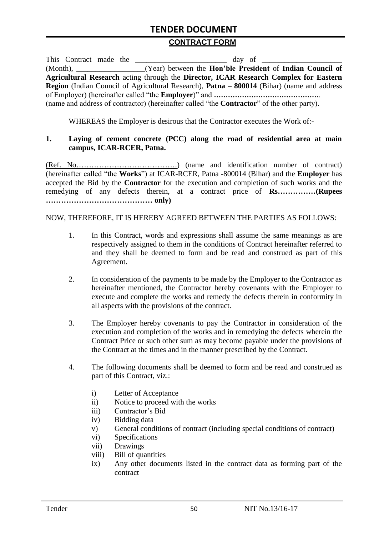#### **CONTRACT FORM**

|  |  | This Contract made the                                                                                   |
|--|--|----------------------------------------------------------------------------------------------------------|
|  |  | (Month), ____________________(Year) between the <b>Hon'ble President</b> of <b>Indian Council of</b>     |
|  |  | Agricultural Research acting through the Director, ICAR Research Complex for Eastern                     |
|  |  | <b>Region</b> (Indian Council of Agricultural Research), <b>Patna – 800014</b> (Bihar) (name and address |
|  |  |                                                                                                          |
|  |  | (name and address of contractor) (hereinafter called "the <b>Contractor</b> " of the other party).       |

WHEREAS the Employer is desirous that the Contractor executes the Work of:-

#### **1. Laying of cement concrete (PCC) along the road of residential area at main campus, ICAR-RCER, Patna.**

(Ref. No………………………………….) (name and identification number of contract) (hereinafter called "the **Works**") at ICAR-RCER, Patna -800014 (Bihar) and the **Employer** has accepted the Bid by the **Contractor** for the execution and completion of such works and the remedying of any defects therein, at a contract price of **Rs……………(Rupees …………………………………… only)**

#### NOW, THEREFORE, IT IS HEREBY AGREED BETWEEN THE PARTIES AS FOLLOWS:

- 1. In this Contract, words and expressions shall assume the same meanings as are respectively assigned to them in the conditions of Contract hereinafter referred to and they shall be deemed to form and be read and construed as part of this Agreement.
- 2. In consideration of the payments to be made by the Employer to the Contractor as hereinafter mentioned, the Contractor hereby covenants with the Employer to execute and complete the works and remedy the defects therein in conformity in all aspects with the provisions of the contract.
- 3. The Employer hereby covenants to pay the Contractor in consideration of the execution and completion of the works and in remedying the defects wherein the Contract Price or such other sum as may become payable under the provisions of the Contract at the times and in the manner prescribed by the Contract.
- 4. The following documents shall be deemed to form and be read and construed as part of this Contract, viz.:
	- i) Letter of Acceptance
	- ii) Notice to proceed with the works
	- iii) Contractor's Bid
	- iv) Bidding data
	- v) General conditions of contract (including special conditions of contract)
	- vi) Specifications
	- vii) Drawings
	- viii) Bill of quantities
	- ix) Any other documents listed in the contract data as forming part of the contract